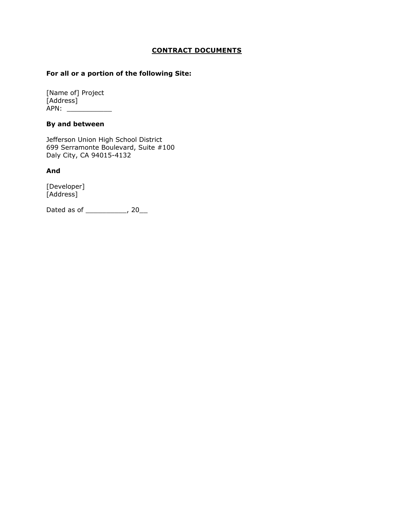#### **CONTRACT DOCUMENTS**

#### **For all or a portion of the following Site:**

[Name of] Project [Address] APN: \_\_\_\_\_\_\_\_\_\_\_

#### **By and between**

Jefferson Union High School District 699 Serramonte Boulevard, Suite #100 Daly City, CA 94015-4132

#### **And**

[Developer] [Address]

Dated as of \_\_\_\_\_\_\_\_\_\_, 20\_\_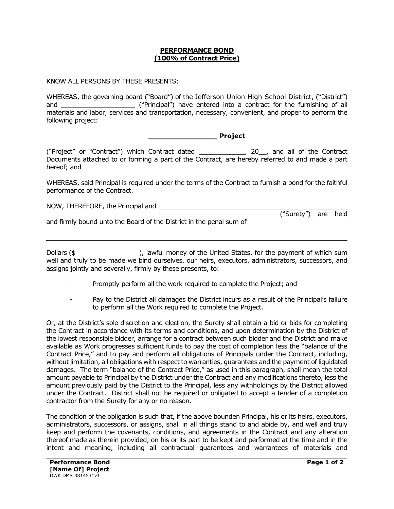#### **PERFORMANCE BOND (100% of Contract Price)**

KNOW ALL PERSONS BY THESE PRESENTS:

WHEREAS, the governing board ("Board") of the Jefferson Union High School District, ("District") and \_\_\_\_\_\_\_\_\_\_\_\_\_\_\_\_\_\_ ("Principal") have entered into a contract for the furnishing of all materials and labor, services and transportation, necessary, convenient, and proper to perform the following project:

**\_\_\_\_\_\_\_\_\_\_\_\_\_\_\_ Project**

("Project" or "Contract") which Contract dated \_\_\_\_\_\_\_\_\_\_\_\_, 20\_\_, and all of the Contract Documents attached to or forming a part of the Contract, are hereby referred to and made a part hereof; and

WHEREAS, said Principal is required under the terms of the Contract to furnish a bond for the faithful performance of the Contract.

| NOW, THEREFORE, the Principal and |            |     |      |
|-----------------------------------|------------|-----|------|
|                                   | ("Surety") | are | held |

and firmly bound unto the Board of the District in the penal sum of

Dollars (\$ ), lawful money of the United States, for the payment of which sum well and truly to be made we bind ourselves, our heirs, executors, administrators, successors, and assigns jointly and severally, firmly by these presents, to:

- Promptly perform all the work required to complete the Project; and
- Pay to the District all damages the District incurs as a result of the Principal's failure to perform all the Work required to complete the Project.

Or, at the District's sole discretion and election, the Surety shall obtain a bid or bids for completing the Contract in accordance with its terms and conditions, and upon determination by the District of the lowest responsible bidder, arrange for a contract between such bidder and the District and make available as Work progresses sufficient funds to pay the cost of completion less the "balance of the Contract Price," and to pay and perform all obligations of Principals under the Contract, including, without limitation, all obligations with respect to warranties, guarantees and the payment of liquidated damages. The term "balance of the Contract Price," as used in this paragraph, shall mean the total amount payable to Principal by the District under the Contract and any modifications thereto, less the amount previously paid by the District to the Principal, less any withholdings by the District allowed under the Contract. District shall not be required or obligated to accept a tender of a completion contractor from the Surety for any or no reason.

The condition of the obligation is such that, if the above bounden Principal, his or its heirs, executors, administrators, successors, or assigns, shall in all things stand to and abide by, and well and truly keep and perform the covenants, conditions, and agreements in the Contract and any alteration thereof made as therein provided, on his or its part to be kept and performed at the time and in the intent and meaning, including all contractual guarantees and warrantees of materials and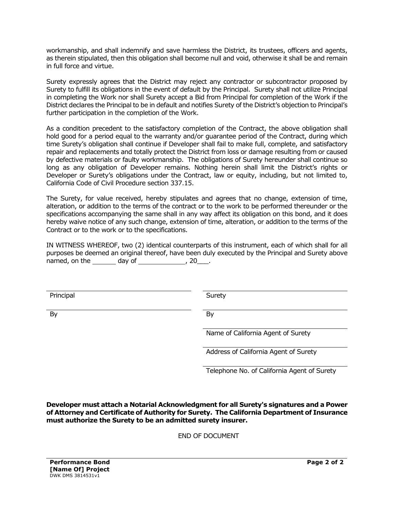workmanship, and shall indemnify and save harmless the District, its trustees, officers and agents, as therein stipulated, then this obligation shall become null and void, otherwise it shall be and remain in full force and virtue.

Surety expressly agrees that the District may reject any contractor or subcontractor proposed by Surety to fulfill its obligations in the event of default by the Principal. Surety shall not utilize Principal in completing the Work nor shall Surety accept a Bid from Principal for completion of the Work if the District declares the Principal to be in default and notifies Surety of the District's objection to Principal's further participation in the completion of the Work.

As a condition precedent to the satisfactory completion of the Contract, the above obligation shall hold good for a period equal to the warranty and/or guarantee period of the Contract, during which time Surety's obligation shall continue if Developer shall fail to make full, complete, and satisfactory repair and replacements and totally protect the District from loss or damage resulting from or caused by defective materials or faulty workmanship. The obligations of Surety hereunder shall continue so long as any obligation of Developer remains. Nothing herein shall limit the District's rights or Developer or Surety's obligations under the Contract, law or equity, including, but not limited to, California Code of Civil Procedure section 337.15.

The Surety, for value received, hereby stipulates and agrees that no change, extension of time, alteration, or addition to the terms of the contract or to the work to be performed thereunder or the specifications accompanying the same shall in any way affect its obligation on this bond, and it does hereby waive notice of any such change, extension of time, alteration, or addition to the terms of the Contract or to the work or to the specifications.

IN WITNESS WHEREOF, two (2) identical counterparts of this instrument, each of which shall for all purposes be deemed an original thereof, have been duly executed by the Principal and Surety above named, on the day of the day of the set on the set of  $\sim$  20  $\pm$ 

Principal Surety

By By

Name of California Agent of Surety

Address of California Agent of Surety

Telephone No. of California Agent of Surety

**Developer must attach a Notarial Acknowledgment for all Surety's signatures and a Power of Attorney and Certificate of Authority for Surety. The California Department of Insurance must authorize the Surety to be an admitted surety insurer.**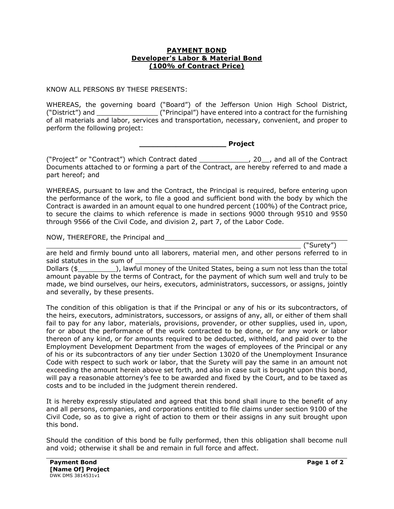#### **PAYMENT BOND Developer's Labor & Material Bond (100% of Contract Price)**

KNOW ALL PERSONS BY THESE PRESENTS:

WHEREAS, the governing board ("Board") of the Jefferson Union High School District, ("District") and \_\_\_\_\_\_\_\_\_\_\_\_\_\_\_ ("Principal") have entered into a contract for the furnishing of all materials and labor, services and transportation, necessary, convenient, and proper to perform the following project:

**\_\_\_\_\_\_\_\_\_\_\_\_\_\_\_\_\_\_\_ Project**

("Project" or "Contract") which Contract dated \_\_\_\_\_\_\_\_\_\_\_\_, 20\_\_, and all of the Contract Documents attached to or forming a part of the Contract, are hereby referred to and made a part hereof; and

WHEREAS, pursuant to law and the Contract, the Principal is required, before entering upon the performance of the work, to file a good and sufficient bond with the body by which the Contract is awarded in an amount equal to one hundred percent (100%) of the Contract price, to secure the claims to which reference is made in sections 9000 through 9510 and 9550 through 9566 of the Civil Code, and division 2, part 7, of the Labor Code.

NOW, THEREFORE, the Principal and

("Surety")

are held and firmly bound unto all laborers, material men, and other persons referred to in said statutes in the sum of

Dollars (\$\_\_\_\_\_\_\_\_\_\_\_\_\_), lawful money of the United States, being a sum not less than the total amount payable by the terms of Contract, for the payment of which sum well and truly to be made, we bind ourselves, our heirs, executors, administrators, successors, or assigns, jointly and severally, by these presents.

The condition of this obligation is that if the Principal or any of his or its subcontractors, of the heirs, executors, administrators, successors, or assigns of any, all, or either of them shall fail to pay for any labor, materials, provisions, provender, or other supplies, used in, upon, for or about the performance of the work contracted to be done, or for any work or labor thereon of any kind, or for amounts required to be deducted, withheld, and paid over to the Employment Development Department from the wages of employees of the Principal or any of his or its subcontractors of any tier under Section 13020 of the Unemployment Insurance Code with respect to such work or labor, that the Surety will pay the same in an amount not exceeding the amount herein above set forth, and also in case suit is brought upon this bond, will pay a reasonable attorney's fee to be awarded and fixed by the Court, and to be taxed as costs and to be included in the judgment therein rendered.

It is hereby expressly stipulated and agreed that this bond shall inure to the benefit of any and all persons, companies, and corporations entitled to file claims under section 9100 of the Civil Code, so as to give a right of action to them or their assigns in any suit brought upon this bond.

Should the condition of this bond be fully performed, then this obligation shall become null and void; otherwise it shall be and remain in full force and affect.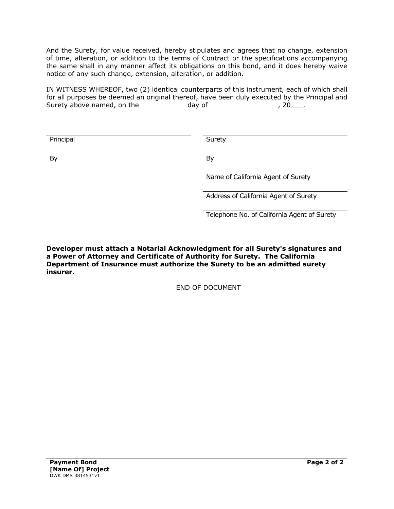And the Surety, for value received, hereby stipulates and agrees that no change, extension of time, alteration, or addition to the terms of Contract or the specifications accompanying the same shall in any manner affect its obligations on this bond, and it does hereby waive notice of any such change, extension, alteration, or addition.

IN WITNESS WHEREOF, two (2) identical counterparts of this instrument, each of which shall for all purposes be deemed an original thereof, have been duly executed by the Principal and Surety above named, on the  $\_\_\_\_\_$  day of  $\_\_\_\_\_\_\_\_$ , 20 $\_\_\_\_\$ .

| Principal | Surety                                |
|-----------|---------------------------------------|
|           |                                       |
|           |                                       |
| By        | By                                    |
|           |                                       |
|           |                                       |
|           | Name of California Agent of Surety    |
|           |                                       |
|           | Address of California Agent of Surety |
|           |                                       |
|           |                                       |

Telephone No. of California Agent of Surety

**Developer must attach a Notarial Acknowledgment for all Surety's signatures and a Power of Attorney and Certificate of Authority for Surety. The California Department of Insurance must authorize the Surety to be an admitted surety insurer.**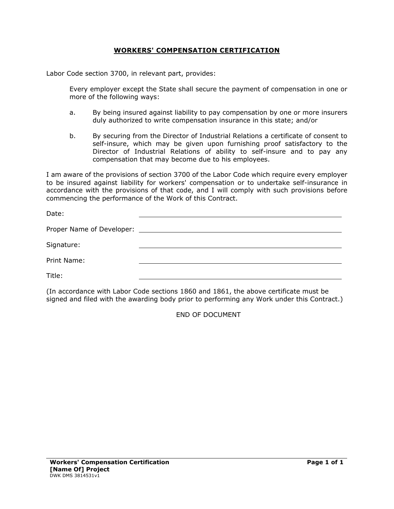## **WORKERS' COMPENSATION CERTIFICATION**

Labor Code section 3700, in relevant part, provides:

Every employer except the State shall secure the payment of compensation in one or more of the following ways:

- a. By being insured against liability to pay compensation by one or more insurers duly authorized to write compensation insurance in this state; and/or
- b. By securing from the Director of Industrial Relations a certificate of consent to self-insure, which may be given upon furnishing proof satisfactory to the Director of Industrial Relations of ability to self-insure and to pay any compensation that may become due to his employees.

I am aware of the provisions of section 3700 of the Labor Code which require every employer to be insured against liability for workers' compensation or to undertake self-insurance in accordance with the provisions of that code, and I will comply with such provisions before commencing the performance of the Work of this Contract.

Date:

| Proper Name of Developer: |  |
|---------------------------|--|
|                           |  |

Signature:

Print Name:

Title:

(In accordance with Labor Code sections 1860 and 1861, the above certificate must be signed and filed with the awarding body prior to performing any Work under this Contract.)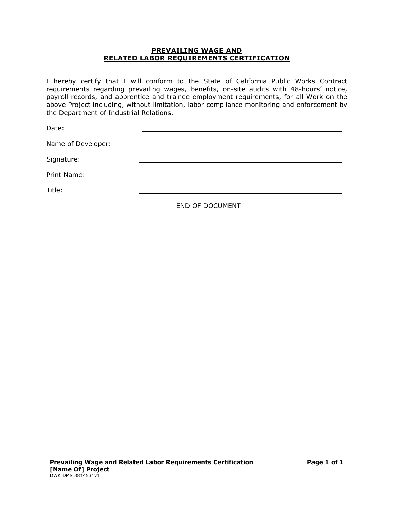#### **PREVAILING WAGE AND RELATED LABOR REQUIREMENTS CERTIFICATION**

I hereby certify that I will conform to the State of California Public Works Contract requirements regarding prevailing wages, benefits, on-site audits with 48-hours' notice, payroll records, and apprentice and trainee employment requirements, for all Work on the above Project including, without limitation, labor compliance monitoring and enforcement by the Department of Industrial Relations.

Date:

Name of Developer:

Signature:

Print Name:

Title: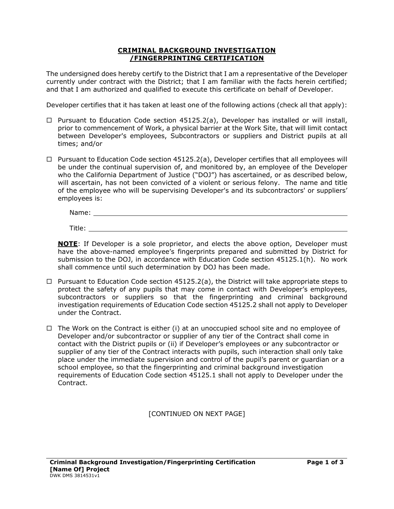#### **CRIMINAL BACKGROUND INVESTIGATION /FINGERPRINTING CERTIFICATION**

The undersigned does hereby certify to the District that I am a representative of the Developer currently under contract with the District; that I am familiar with the facts herein certified; and that I am authorized and qualified to execute this certificate on behalf of Developer.

Developer certifies that it has taken at least one of the following actions (check all that apply):

- $\Box$  Pursuant to Education Code section 45125.2(a), Developer has installed or will install, prior to commencement of Work, a physical barrier at the Work Site, that will limit contact between Developer's employees, Subcontractors or suppliers and District pupils at all times; and/or
- $\Box$  Pursuant to Education Code section 45125.2(a), Developer certifies that all employees will be under the continual supervision of, and monitored by, an employee of the Developer who the California Department of Justice ("DOJ") has ascertained, or as described below, will ascertain, has not been convicted of a violent or serious felony. The name and title of the employee who will be supervising Developer's and its subcontractors' or suppliers' employees is:

| Name:  |  |  |  |
|--------|--|--|--|
|        |  |  |  |
| Title: |  |  |  |

**NOTE**: If Developer is a sole proprietor, and elects the above option, Developer must have the above-named employee's fingerprints prepared and submitted by District for submission to the DOJ, in accordance with Education Code section 45125.1(h). No work shall commence until such determination by DOJ has been made.

- $\Box$  Pursuant to Education Code section 45125.2(a), the District will take appropriate steps to protect the safety of any pupils that may come in contact with Developer's employees, subcontractors or suppliers so that the fingerprinting and criminal background investigation requirements of Education Code section 45125.2 shall not apply to Developer under the Contract.
- $\Box$  The Work on the Contract is either (i) at an unoccupied school site and no employee of Developer and/or subcontractor or supplier of any tier of the Contract shall come in contact with the District pupils or (ii) if Developer's employees or any subcontractor or supplier of any tier of the Contract interacts with pupils, such interaction shall only take place under the immediate supervision and control of the pupil's parent or guardian or a school employee, so that the fingerprinting and criminal background investigation requirements of Education Code section 45125.1 shall not apply to Developer under the Contract.

[CONTINUED ON NEXT PAGE]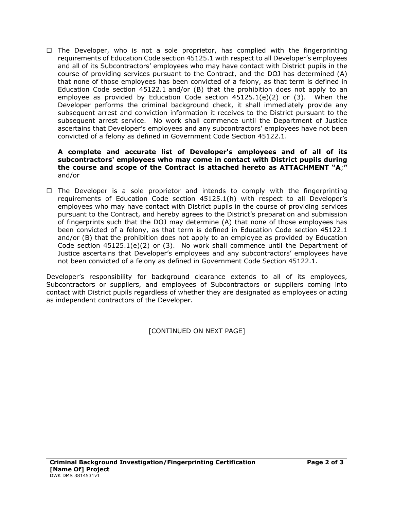$\Box$  The Developer, who is not a sole proprietor, has complied with the fingerprinting requirements of Education Code section 45125.1 with respect to all Developer's employees and all of its Subcontractors' employees who may have contact with District pupils in the course of providing services pursuant to the Contract, and the DOJ has determined (A) that none of those employees has been convicted of a felony, as that term is defined in Education Code section 45122.1 and/or (B) that the prohibition does not apply to an employee as provided by Education Code section  $45125.1(e)(2)$  or  $(3)$ . When the Developer performs the criminal background check, it shall immediately provide any subsequent arrest and conviction information it receives to the District pursuant to the subsequent arrest service. No work shall commence until the Department of Justice ascertains that Developer's employees and any subcontractors' employees have not been convicted of a felony as defined in Government Code Section 45122.1.

#### **A complete and accurate list of Developer's employees and of all of its subcontractors' employees who may come in contact with District pupils during the course and scope of the Contract is attached hereto as ATTACHMENT "A**;**"**  and/or

 $\Box$  The Developer is a sole proprietor and intends to comply with the fingerprinting requirements of Education Code section 45125.1(h) with respect to all Developer's employees who may have contact with District pupils in the course of providing services pursuant to the Contract, and hereby agrees to the District's preparation and submission of fingerprints such that the DOJ may determine (A) that none of those employees has been convicted of a felony, as that term is defined in Education Code section 45122.1 and/or (B) that the prohibition does not apply to an employee as provided by Education Code section  $45125.1(e)(2)$  or (3). No work shall commence until the Department of Justice ascertains that Developer's employees and any subcontractors' employees have not been convicted of a felony as defined in Government Code Section 45122.1.

Developer's responsibility for background clearance extends to all of its employees, Subcontractors or suppliers, and employees of Subcontractors or suppliers coming into contact with District pupils regardless of whether they are designated as employees or acting as independent contractors of the Developer.

[CONTINUED ON NEXT PAGE]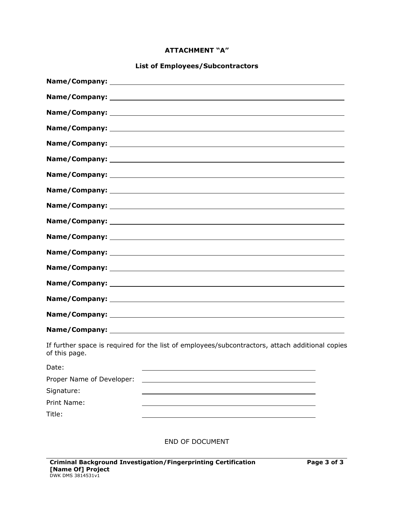## **ATTACHMENT "A"**

# **List of Employees/Subcontractors**

| of this page.             | If further space is required for the list of employees/subcontractors, attach additional copies |
|---------------------------|-------------------------------------------------------------------------------------------------|
| Date:                     |                                                                                                 |
| Proper Name of Developer: |                                                                                                 |
| Signature:                |                                                                                                 |
| Print Name:               |                                                                                                 |
| Title:                    |                                                                                                 |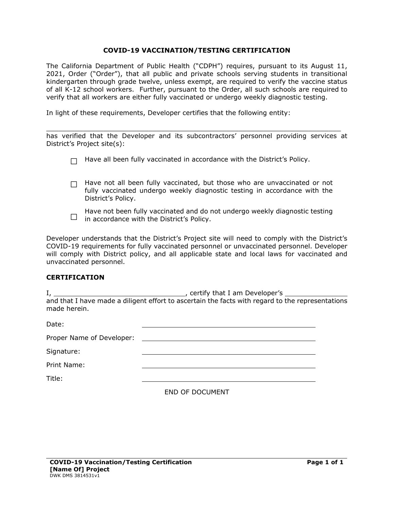#### **COVID-19 VACCINATION/TESTING CERTIFICATION**

The California Department of Public Health ("CDPH") requires, pursuant to its August 11, 2021, Order ("Order"), that all public and private schools serving students in transitional kindergarten through grade twelve, unless exempt, are required to verify the vaccine status of all K-12 school workers. Further, pursuant to the Order, all such schools are required to verify that all workers are either fully vaccinated or undergo weekly diagnostic testing.

In light of these requirements, Developer certifies that the following entity:

has verified that the Developer and its subcontractors' personnel providing services at District's Project site(s):

 $\_$  , and the state of the state of the state of the state of the state of the state of the state of the state of the state of the state of the state of the state of the state of the state of the state of the state of the

|  |  |  |  | $\Box$ Have all been fully vaccinated in accordance with the District's Policy. |
|--|--|--|--|---------------------------------------------------------------------------------|
|--|--|--|--|---------------------------------------------------------------------------------|

 $\Box$  Have not all been fully vaccinated, but those who are unvaccinated or not fully vaccinated undergo weekly diagnostic testing in accordance with the District's Policy.



Developer understands that the District's Project site will need to comply with the District's COVID-19 requirements for fully vaccinated personnel or unvaccinated personnel. Developer will comply with District policy, and all applicable state and local laws for vaccinated and unvaccinated personnel.

#### **CERTIFICATION**

I, , certify that I am Developer's and that I have made a diligent effort to ascertain the facts with regard to the representations made herein.

| Date:                     |                 |
|---------------------------|-----------------|
| Proper Name of Developer: |                 |
| Signature:                |                 |
| Print Name:               |                 |
| Title:                    |                 |
|                           | END OF DOCUMENT |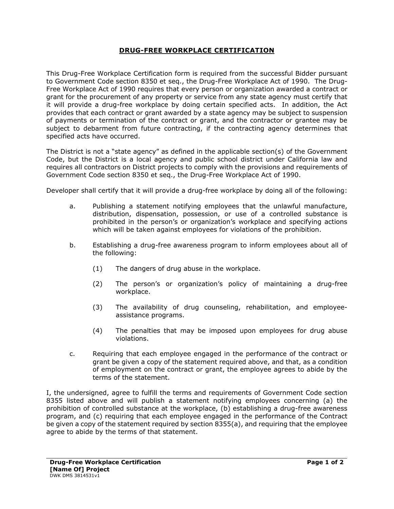## **DRUG-FREE WORKPLACE CERTIFICATION**

This Drug-Free Workplace Certification form is required from the successful Bidder pursuant to Government Code section 8350 et seq., the Drug-Free Workplace Act of 1990. The Drug-Free Workplace Act of 1990 requires that every person or organization awarded a contract or grant for the procurement of any property or service from any state agency must certify that it will provide a drug-free workplace by doing certain specified acts. In addition, the Act provides that each contract or grant awarded by a state agency may be subject to suspension of payments or termination of the contract or grant, and the contractor or grantee may be subject to debarment from future contracting, if the contracting agency determines that specified acts have occurred.

The District is not a "state agency" as defined in the applicable section(s) of the Government Code, but the District is a local agency and public school district under California law and requires all contractors on District projects to comply with the provisions and requirements of Government Code section 8350 et seq., the Drug-Free Workplace Act of 1990.

Developer shall certify that it will provide a drug-free workplace by doing all of the following:

- a. Publishing a statement notifying employees that the unlawful manufacture, distribution, dispensation, possession, or use of a controlled substance is prohibited in the person's or organization's workplace and specifying actions which will be taken against employees for violations of the prohibition.
- b. Establishing a drug-free awareness program to inform employees about all of the following:
	- (1) The dangers of drug abuse in the workplace.
	- (2) The person's or organization's policy of maintaining a drug-free workplace.
	- (3) The availability of drug counseling, rehabilitation, and employeeassistance programs.
	- (4) The penalties that may be imposed upon employees for drug abuse violations.
- c. Requiring that each employee engaged in the performance of the contract or grant be given a copy of the statement required above, and that, as a condition of employment on the contract or grant, the employee agrees to abide by the terms of the statement.

I, the undersigned, agree to fulfill the terms and requirements of Government Code section 8355 listed above and will publish a statement notifying employees concerning (a) the prohibition of controlled substance at the workplace, (b) establishing a drug-free awareness program, and (c) requiring that each employee engaged in the performance of the Contract be given a copy of the statement required by section 8355(a), and requiring that the employee agree to abide by the terms of that statement.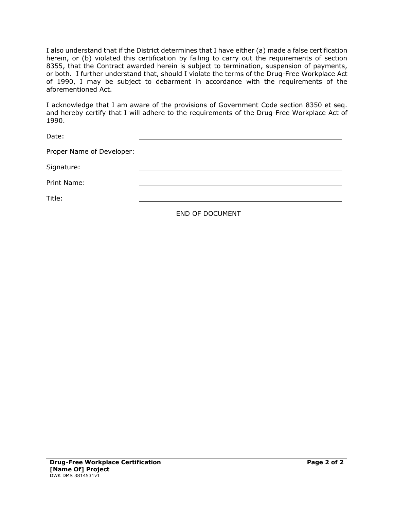I also understand that if the District determines that I have either (a) made a false certification herein, or (b) violated this certification by failing to carry out the requirements of section 8355, that the Contract awarded herein is subject to termination, suspension of payments, or both. I further understand that, should I violate the terms of the Drug-Free Workplace Act of 1990, I may be subject to debarment in accordance with the requirements of the aforementioned Act.

I acknowledge that I am aware of the provisions of Government Code section 8350 et seq. and hereby certify that I will adhere to the requirements of the Drug-Free Workplace Act of 1990.

| Date:       |  |
|-------------|--|
|             |  |
| Signature:  |  |
| Print Name: |  |
| Title:      |  |
|             |  |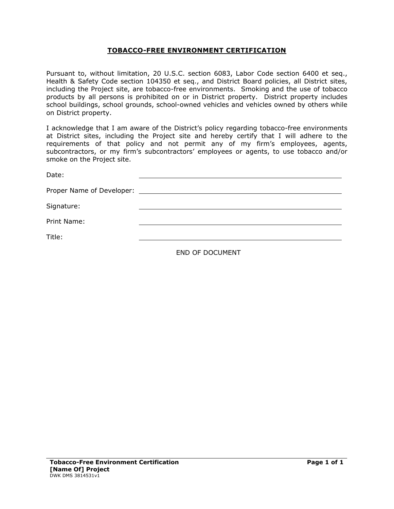## **TOBACCO-FREE ENVIRONMENT CERTIFICATION**

Pursuant to, without limitation, 20 U.S.C. section 6083, Labor Code section 6400 et seq., Health & Safety Code section 104350 et seq., and District Board policies, all District sites, including the Project site, are tobacco-free environments. Smoking and the use of tobacco products by all persons is prohibited on or in District property. District property includes school buildings, school grounds, school-owned vehicles and vehicles owned by others while on District property.

I acknowledge that I am aware of the District's policy regarding tobacco-free environments at District sites, including the Project site and hereby certify that I will adhere to the requirements of that policy and not permit any of my firm's employees, agents, subcontractors, or my firm's subcontractors' employees or agents, to use tobacco and/or smoke on the Project site.

| Date:       |  |
|-------------|--|
|             |  |
| Signature:  |  |
| Print Name: |  |
| Title:      |  |
|             |  |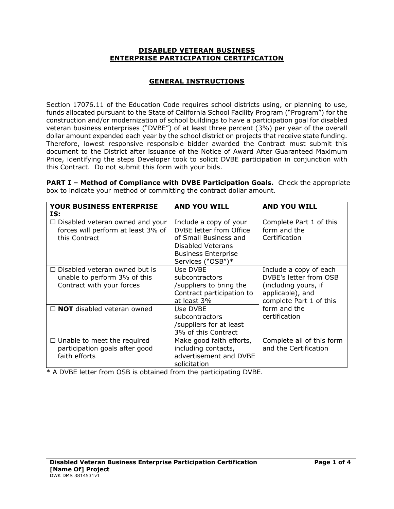#### **DISABLED VETERAN BUSINESS ENTERPRISE PARTICIPATION CERTIFICATION**

# **GENERAL INSTRUCTIONS**

Section 17076.11 of the Education Code requires school districts using, or planning to use, funds allocated pursuant to the State of California School Facility Program ("Program") for the construction and/or modernization of school buildings to have a participation goal for disabled veteran business enterprises ("DVBE") of at least three percent (3%) per year of the overall dollar amount expended each year by the school district on projects that receive state funding. Therefore, lowest responsive responsible bidder awarded the Contract must submit this document to the District after issuance of the Notice of Award After Guaranteed Maximum Price, identifying the steps Developer took to solicit DVBE participation in conjunction with this Contract. Do not submit this form with your bids.

**PART I – Method of Compliance with DVBE Participation Goals.** Check the appropriate box to indicate your method of committing the contract dollar amount.

| <b>YOUR BUSINESS ENTERPRISE</b><br>IS:                                                            | <b>AND YOU WILL</b>                                                                                                                                | <b>AND YOU WILL</b>                                                                                                     |
|---------------------------------------------------------------------------------------------------|----------------------------------------------------------------------------------------------------------------------------------------------------|-------------------------------------------------------------------------------------------------------------------------|
| $\Box$ Disabled veteran owned and your<br>forces will perform at least 3% of<br>this Contract     | Include a copy of your<br>DVBE letter from Office<br>of Small Business and<br>Disabled Veterans<br><b>Business Enterprise</b><br>Services ("OSB")* | Complete Part 1 of this<br>form and the<br>Certification                                                                |
| $\Box$ Disabled veteran owned but is<br>unable to perform 3% of this<br>Contract with your forces | Use DVBE<br>subcontractors<br>/suppliers to bring the<br>Contract participation to<br>at least 3%                                                  | Include a copy of each<br>DVBE's letter from OSB<br>(including yours, if<br>applicable), and<br>complete Part 1 of this |
| $\Box$ NOT disabled veteran owned                                                                 | Use DVBE<br>subcontractors<br>/suppliers for at least<br>3% of this Contract                                                                       | form and the<br>certification                                                                                           |
| $\Box$ Unable to meet the required<br>participation goals after good<br>faith efforts             | Make good faith efforts,<br>including contacts,<br>advertisement and DVBE<br>solicitation                                                          | Complete all of this form<br>and the Certification                                                                      |

\* A DVBE letter from OSB is obtained from the participating DVBE.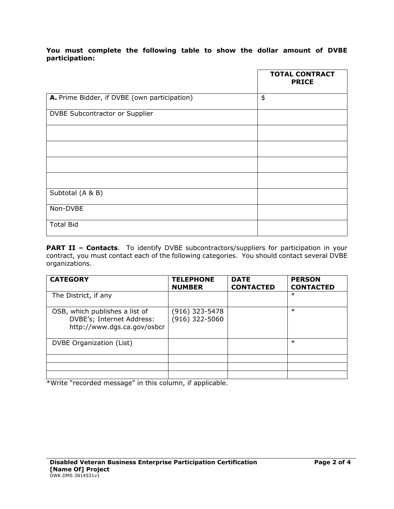## **You must complete the following table to show the dollar amount of DVBE participation:**

|                                              | <b>TOTAL CONTRACT</b><br><b>PRICE</b> |
|----------------------------------------------|---------------------------------------|
| A. Prime Bidder, if DVBE (own participation) | \$                                    |
| DVBE Subcontractor or Supplier               |                                       |
|                                              |                                       |
|                                              |                                       |
|                                              |                                       |
|                                              |                                       |
| Subtotal (A & B)                             |                                       |
| Non-DVBE                                     |                                       |
| <b>Total Bid</b>                             |                                       |

**PART II - Contacts**. To identify DVBE subcontractors/suppliers for participation in your contract, you must contact each of the following categories. You should contact several DVBE organizations.

| <b>CATEGORY</b>                                                                            | <b>TELEPHONE</b><br><b>NUMBER</b> | <b>DATE</b><br><b>CONTACTED</b> | <b>PERSON</b><br><b>CONTACTED</b> |
|--------------------------------------------------------------------------------------------|-----------------------------------|---------------------------------|-----------------------------------|
| The District, if any                                                                       |                                   |                                 | $\ast$                            |
| OSB, which publishes a list of<br>DVBE's; Internet Address:<br>http://www.dgs.ca.gov/osbcr | (916) 323-5478<br>(916) 322-5060  |                                 | $\ast$                            |
| DVBE Organization (List)                                                                   |                                   |                                 | $\ast$                            |
|                                                                                            |                                   |                                 |                                   |
|                                                                                            |                                   |                                 |                                   |
|                                                                                            |                                   |                                 |                                   |

\*Write "recorded message" in this column, if applicable.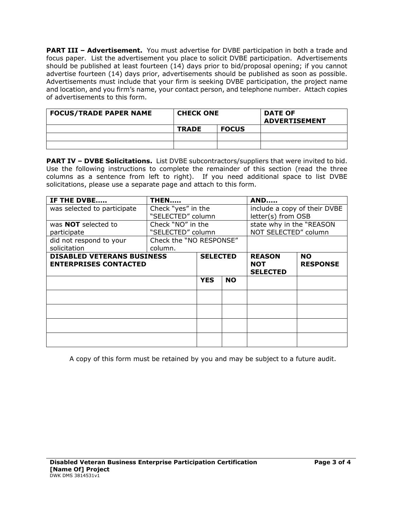**PART III – Advertisement.** You must advertise for DVBE participation in both a trade and focus paper. List the advertisement you place to solicit DVBE participation. Advertisements should be published at least fourteen (14) days prior to bid/proposal opening; if you cannot advertise fourteen (14) days prior, advertisements should be published as soon as possible. Advertisements must include that your firm is seeking DVBE participation, the project name and location, and you firm's name, your contact person, and telephone number. Attach copies of advertisements to this form.

| <b>FOCUS/TRADE PAPER NAME</b> | <b>CHECK ONE</b> |              | <b>DATE OF</b><br><b>ADVERTISEMENT</b> |
|-------------------------------|------------------|--------------|----------------------------------------|
|                               | <b>TRADE</b>     | <b>FOCUS</b> |                                        |
|                               |                  |              |                                        |
|                               |                  |              |                                        |

**PART IV – DVBE Solicitations.** List DVBE subcontractors/suppliers that were invited to bid. Use the following instructions to complete the remainder of this section (read the three columns as a sentence from left to right). If you need additional space to list DVBE solicitations, please use a separate page and attach to this form.

| IF THE DVBE                                                       | <b>THEN</b>             |                         |  | <b>AND</b>                                     |                              |
|-------------------------------------------------------------------|-------------------------|-------------------------|--|------------------------------------------------|------------------------------|
| was selected to participate                                       | Check "yes" in the      |                         |  | include a copy of their DVBE                   |                              |
|                                                                   | "SELECTED" column       |                         |  | letter(s) from OSB                             |                              |
| was <b>NOT</b> selected to                                        | Check "NO" in the       |                         |  | state why in the "REASON                       |                              |
| participate                                                       | "SELECTED" column       |                         |  | NOT SELECTED" column                           |                              |
| did not respond to your                                           | Check the "NO RESPONSE" |                         |  |                                                |                              |
| solicitation                                                      | column.                 |                         |  |                                                |                              |
| <b>DISABLED VETERANS BUSINESS</b><br><b>ENTERPRISES CONTACTED</b> |                         | <b>SELECTED</b>         |  | <b>REASON</b><br><b>NOT</b><br><b>SELECTED</b> | <b>NO</b><br><b>RESPONSE</b> |
|                                                                   |                         | <b>YES</b><br><b>NO</b> |  |                                                |                              |
|                                                                   |                         |                         |  |                                                |                              |
|                                                                   |                         |                         |  |                                                |                              |
|                                                                   |                         |                         |  |                                                |                              |
|                                                                   |                         |                         |  |                                                |                              |

A copy of this form must be retained by you and may be subject to a future audit.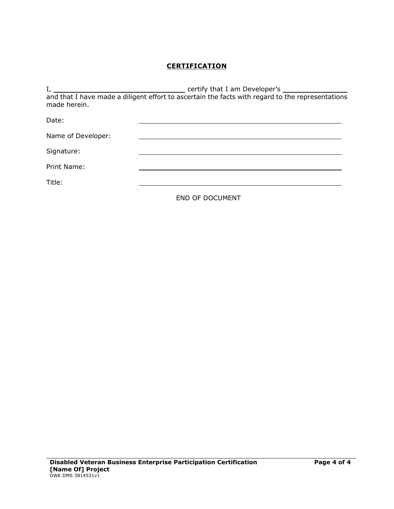# **CERTIFICATION**

| $I_{\ell}$         | certify that I am Developer's                                                                    |
|--------------------|--------------------------------------------------------------------------------------------------|
|                    | and that I have made a diligent effort to ascertain the facts with regard to the representations |
| made herein.       |                                                                                                  |
| Date:              |                                                                                                  |
|                    |                                                                                                  |
| Name of Developer: |                                                                                                  |
|                    |                                                                                                  |
| Signature:         |                                                                                                  |
| Print Name:        |                                                                                                  |
|                    |                                                                                                  |
| Title:             |                                                                                                  |
|                    |                                                                                                  |
|                    | <b>END OF DOCUMENT</b>                                                                           |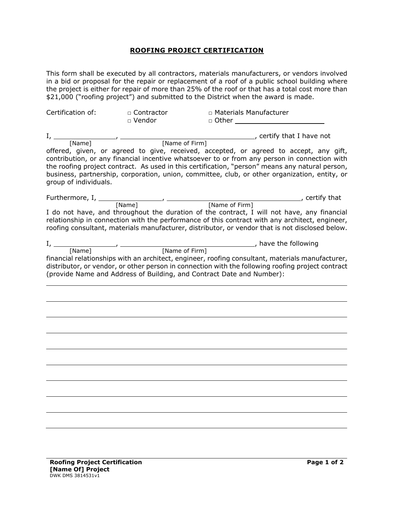#### **ROOFING PROJECT CERTIFICATION**

This form shall be executed by all contractors, materials manufacturers, or vendors involved in a bid or proposal for the repair or replacement of a roof of a public school building where the project is either for repair of more than 25% of the roof or that has a total cost more than \$21,000 ("roofing project") and submitted to the District when the award is made.

| Certification of:                                                  | □ Contractor<br>□ Vendor | n Materials Manufacturer<br>$\Box$ Other                                                                                                                                                                                                                                                                                                                                                  |
|--------------------------------------------------------------------|--------------------------|-------------------------------------------------------------------------------------------------------------------------------------------------------------------------------------------------------------------------------------------------------------------------------------------------------------------------------------------------------------------------------------------|
|                                                                    |                          | , certify that I have not                                                                                                                                                                                                                                                                                                                                                                 |
| $I,$ [Name] $\qquad \qquad$ [Name of Firm]                         |                          |                                                                                                                                                                                                                                                                                                                                                                                           |
| group of individuals.                                              |                          | offered, given, or agreed to give, received, accepted, or agreed to accept, any gift,<br>contribution, or any financial incentive whatsoever to or from any person in connection with<br>the roofing project contract. As used in this certification, "person" means any natural person,<br>business, partnership, corporation, union, committee, club, or other organization, entity, or |
|                                                                    |                          | certify that                                                                                                                                                                                                                                                                                                                                                                              |
|                                                                    |                          | I do not have, and throughout the duration of the contract, I will not have, any financial<br>relationship in connection with the performance of this contract with any architect, engineer,<br>roofing consultant, materials manufacturer, distributor, or vendor that is not disclosed below.                                                                                           |
| $I,$ $\frac{1}{\text{[Name]}}$ , $\frac{1}{\text{[Name of Firm]}}$ |                          | _, have the following                                                                                                                                                                                                                                                                                                                                                                     |
|                                                                    |                          | financial relationships with an architect, engineer, roofing consultant, materials manufacturer,<br>distributor, or vendor, or other person in connection with the following roofing project contract<br>(provide Name and Address of Building, and Contract Date and Number):                                                                                                            |
|                                                                    |                          |                                                                                                                                                                                                                                                                                                                                                                                           |
|                                                                    |                          |                                                                                                                                                                                                                                                                                                                                                                                           |
|                                                                    |                          |                                                                                                                                                                                                                                                                                                                                                                                           |
|                                                                    |                          |                                                                                                                                                                                                                                                                                                                                                                                           |
|                                                                    |                          |                                                                                                                                                                                                                                                                                                                                                                                           |
|                                                                    |                          |                                                                                                                                                                                                                                                                                                                                                                                           |
|                                                                    |                          |                                                                                                                                                                                                                                                                                                                                                                                           |
|                                                                    |                          |                                                                                                                                                                                                                                                                                                                                                                                           |
|                                                                    |                          |                                                                                                                                                                                                                                                                                                                                                                                           |
|                                                                    |                          |                                                                                                                                                                                                                                                                                                                                                                                           |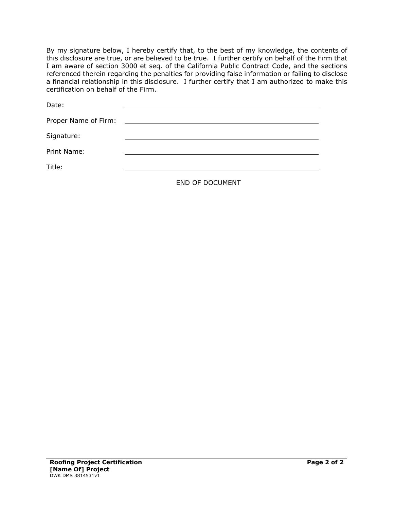By my signature below, I hereby certify that, to the best of my knowledge, the contents of this disclosure are true, or are believed to be true. I further certify on behalf of the Firm that I am aware of section 3000 et seq. of the California Public Contract Code, and the sections referenced therein regarding the penalties for providing false information or failing to disclose a financial relationship in this disclosure. I further certify that I am authorized to make this certification on behalf of the Firm.

| Date:                |                                                                                                                                                                                                                                      |
|----------------------|--------------------------------------------------------------------------------------------------------------------------------------------------------------------------------------------------------------------------------------|
| Proper Name of Firm: | <u>and the community of the community of the community of the community of the community of the community of the community of the community of the community of the community of the community of the community of the community</u> |
| Signature:           |                                                                                                                                                                                                                                      |
| Print Name:          |                                                                                                                                                                                                                                      |
| Title:               |                                                                                                                                                                                                                                      |
|                      | END OF DOCUMENT                                                                                                                                                                                                                      |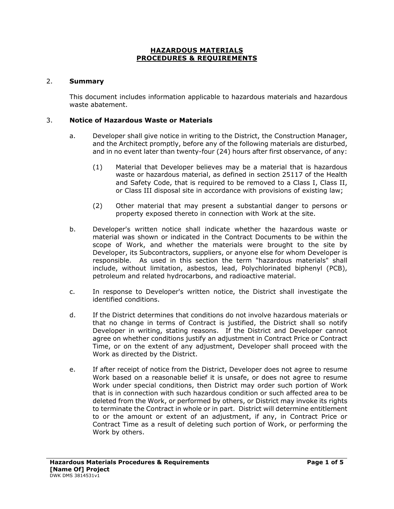## **HAZARDOUS MATERIALS PROCEDURES & REQUIREMENTS**

#### 2. **Summary**

This document includes information applicable to hazardous materials and hazardous waste abatement.

#### 3. **Notice of Hazardous Waste or Materials**

- a. Developer shall give notice in writing to the District, the Construction Manager, and the Architect promptly, before any of the following materials are disturbed, and in no event later than twenty-four (24) hours after first observance, of any:
	- (1) Material that Developer believes may be a material that is hazardous waste or hazardous material, as defined in section 25117 of the Health and Safety Code, that is required to be removed to a Class I, Class II, or Class III disposal site in accordance with provisions of existing law;
	- (2) Other material that may present a substantial danger to persons or property exposed thereto in connection with Work at the site.
- b. Developer's written notice shall indicate whether the hazardous waste or material was shown or indicated in the Contract Documents to be within the scope of Work, and whether the materials were brought to the site by Developer, its Subcontractors, suppliers, or anyone else for whom Developer is responsible. As used in this section the term "hazardous materials" shall include, without limitation, asbestos, lead, Polychlorinated biphenyl (PCB), petroleum and related hydrocarbons, and radioactive material.
- c. In response to Developer's written notice, the District shall investigate the identified conditions.
- d. If the District determines that conditions do not involve hazardous materials or that no change in terms of Contract is justified, the District shall so notify Developer in writing, stating reasons. If the District and Developer cannot agree on whether conditions justify an adjustment in Contract Price or Contract Time, or on the extent of any adjustment, Developer shall proceed with the Work as directed by the District.
- e. If after receipt of notice from the District, Developer does not agree to resume Work based on a reasonable belief it is unsafe, or does not agree to resume Work under special conditions, then District may order such portion of Work that is in connection with such hazardous condition or such affected area to be deleted from the Work, or performed by others, or District may invoke its rights to terminate the Contract in whole or in part. District will determine entitlement to or the amount or extent of an adjustment, if any, in Contract Price or Contract Time as a result of deleting such portion of Work, or performing the Work by others.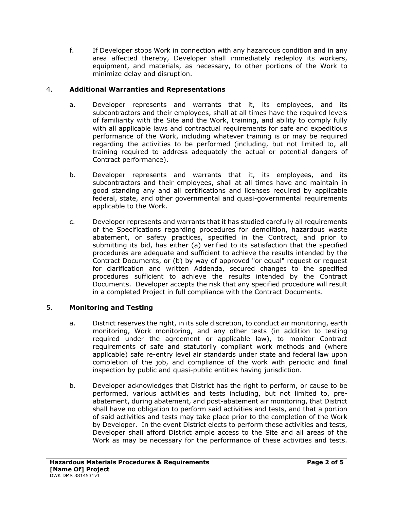f. If Developer stops Work in connection with any hazardous condition and in any area affected thereby, Developer shall immediately redeploy its workers, equipment, and materials, as necessary, to other portions of the Work to minimize delay and disruption.

## 4. **Additional Warranties and Representations**

- a. Developer represents and warrants that it, its employees, and its subcontractors and their employees, shall at all times have the required levels of familiarity with the Site and the Work, training, and ability to comply fully with all applicable laws and contractual requirements for safe and expeditious performance of the Work, including whatever training is or may be required regarding the activities to be performed (including, but not limited to, all training required to address adequately the actual or potential dangers of Contract performance).
- b. Developer represents and warrants that it, its employees, and its subcontractors and their employees, shall at all times have and maintain in good standing any and all certifications and licenses required by applicable federal, state, and other governmental and quasi-governmental requirements applicable to the Work.
- c. Developer represents and warrants that it has studied carefully all requirements of the Specifications regarding procedures for demolition, hazardous waste abatement, or safety practices, specified in the Contract, and prior to submitting its bid, has either (a) verified to its satisfaction that the specified procedures are adequate and sufficient to achieve the results intended by the Contract Documents, or (b) by way of approved "or equal" request or request for clarification and written Addenda, secured changes to the specified procedures sufficient to achieve the results intended by the Contract Documents. Developer accepts the risk that any specified procedure will result in a completed Project in full compliance with the Contract Documents.

# 5. **Monitoring and Testing**

- a. District reserves the right, in its sole discretion, to conduct air monitoring, earth monitoring, Work monitoring, and any other tests (in addition to testing required under the agreement or applicable law), to monitor Contract requirements of safe and statutorily compliant work methods and (where applicable) safe re-entry level air standards under state and federal law upon completion of the job, and compliance of the work with periodic and final inspection by public and quasi-public entities having jurisdiction.
- b. Developer acknowledges that District has the right to perform, or cause to be performed, various activities and tests including, but not limited to, preabatement, during abatement, and post-abatement air monitoring, that District shall have no obligation to perform said activities and tests, and that a portion of said activities and tests may take place prior to the completion of the Work by Developer. In the event District elects to perform these activities and tests, Developer shall afford District ample access to the Site and all areas of the Work as may be necessary for the performance of these activities and tests.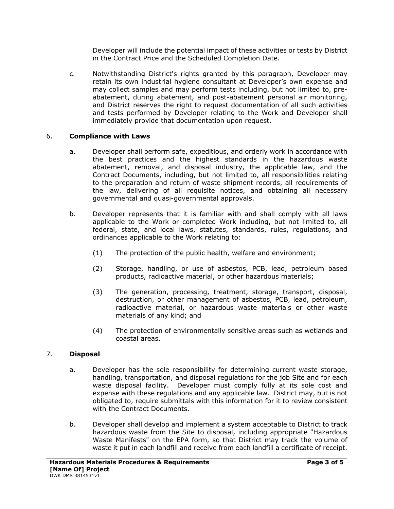Developer will include the potential impact of these activities or tests by District in the Contract Price and the Scheduled Completion Date.

c. Notwithstanding District's rights granted by this paragraph, Developer may retain its own industrial hygiene consultant at Developer's own expense and may collect samples and may perform tests including, but not limited to, preabatement, during abatement, and post-abatement personal air monitoring, and District reserves the right to request documentation of all such activities and tests performed by Developer relating to the Work and Developer shall immediately provide that documentation upon request.

## 6. **Compliance with Laws**

- a. Developer shall perform safe, expeditious, and orderly work in accordance with the best practices and the highest standards in the hazardous waste abatement, removal, and disposal industry, the applicable law, and the Contract Documents, including, but not limited to, all responsibilities relating to the preparation and return of waste shipment records, all requirements of the law, delivering of all requisite notices, and obtaining all necessary governmental and quasi-governmental approvals.
- b. Developer represents that it is familiar with and shall comply with all laws applicable to the Work or completed Work including, but not limited to, all federal, state, and local laws, statutes, standards, rules, regulations, and ordinances applicable to the Work relating to:
	- (1) The protection of the public health, welfare and environment;
	- (2) Storage, handling, or use of asbestos, PCB, lead, petroleum based products, radioactive material, or other hazardous materials;
	- (3) The generation, processing, treatment, storage, transport, disposal, destruction, or other management of asbestos, PCB, lead, petroleum, radioactive material, or hazardous waste materials or other waste materials of any kind; and
	- (4) The protection of environmentally sensitive areas such as wetlands and coastal areas.

# 7. **Disposal**

- a. Developer has the sole responsibility for determining current waste storage, handling, transportation, and disposal regulations for the job Site and for each waste disposal facility. Developer must comply fully at its sole cost and expense with these regulations and any applicable law. District may, but is not obligated to, require submittals with this information for it to review consistent with the Contract Documents.
- b. Developer shall develop and implement a system acceptable to District to track hazardous waste from the Site to disposal, including appropriate "Hazardous Waste Manifests" on the EPA form, so that District may track the volume of waste it put in each landfill and receive from each landfill a certificate of receipt.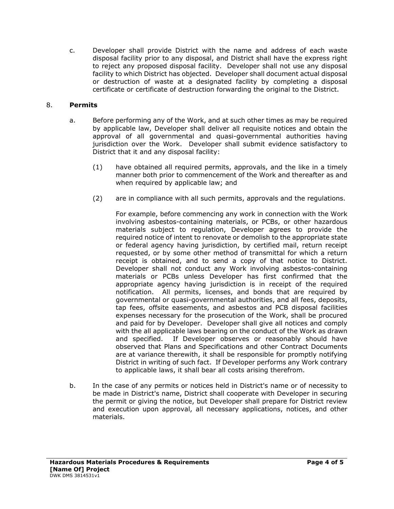c. Developer shall provide District with the name and address of each waste disposal facility prior to any disposal, and District shall have the express right to reject any proposed disposal facility. Developer shall not use any disposal facility to which District has objected. Developer shall document actual disposal or destruction of waste at a designated facility by completing a disposal certificate or certificate of destruction forwarding the original to the District.

## 8. **Permits**

- a. Before performing any of the Work, and at such other times as may be required by applicable law, Developer shall deliver all requisite notices and obtain the approval of all governmental and quasi-governmental authorities having jurisdiction over the Work. Developer shall submit evidence satisfactory to District that it and any disposal facility:
	- (1) have obtained all required permits, approvals, and the like in a timely manner both prior to commencement of the Work and thereafter as and when required by applicable law; and
	- (2) are in compliance with all such permits, approvals and the regulations.

For example, before commencing any work in connection with the Work involving asbestos-containing materials, or PCBs, or other hazardous materials subject to regulation, Developer agrees to provide the required notice of intent to renovate or demolish to the appropriate state or federal agency having jurisdiction, by certified mail, return receipt requested, or by some other method of transmittal for which a return receipt is obtained, and to send a copy of that notice to District. Developer shall not conduct any Work involving asbestos-containing materials or PCBs unless Developer has first confirmed that the appropriate agency having jurisdiction is in receipt of the required notification. All permits, licenses, and bonds that are required by governmental or quasi-governmental authorities, and all fees, deposits, tap fees, offsite easements, and asbestos and PCB disposal facilities expenses necessary for the prosecution of the Work, shall be procured and paid for by Developer. Developer shall give all notices and comply with the all applicable laws bearing on the conduct of the Work as drawn and specified. If Developer observes or reasonably should have observed that Plans and Specifications and other Contract Documents are at variance therewith, it shall be responsible for promptly notifying District in writing of such fact. If Developer performs any Work contrary to applicable laws, it shall bear all costs arising therefrom.

b. In the case of any permits or notices held in District's name or of necessity to be made in District's name, District shall cooperate with Developer in securing the permit or giving the notice, but Developer shall prepare for District review and execution upon approval, all necessary applications, notices, and other materials.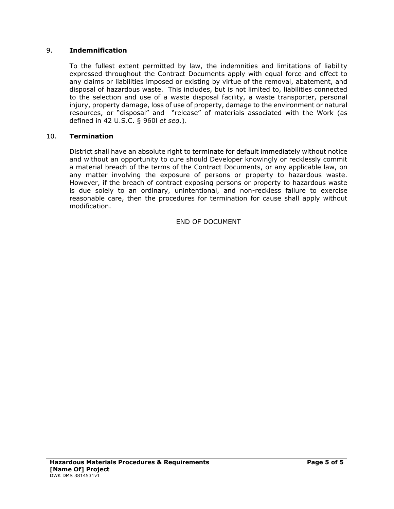#### 9. **Indemnification**

To the fullest extent permitted by law, the indemnities and limitations of liability expressed throughout the Contract Documents apply with equal force and effect to any claims or liabilities imposed or existing by virtue of the removal, abatement, and disposal of hazardous waste. This includes, but is not limited to, liabilities connected to the selection and use of a waste disposal facility, a waste transporter, personal injury, property damage, loss of use of property, damage to the environment or natural resources, or "disposal" and "release" of materials associated with the Work (as defined in 42 U.S.C. § 960l *et seq*.).

#### 10. **Termination**

District shall have an absolute right to terminate for default immediately without notice and without an opportunity to cure should Developer knowingly or recklessly commit a material breach of the terms of the Contract Documents, or any applicable law, on any matter involving the exposure of persons or property to hazardous waste. However, if the breach of contract exposing persons or property to hazardous waste is due solely to an ordinary, unintentional, and non-reckless failure to exercise reasonable care, then the procedures for termination for cause shall apply without modification.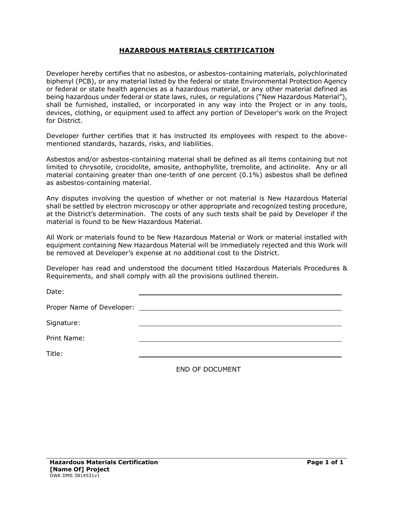## **HAZARDOUS MATERIALS CERTIFICATION**

Developer hereby certifies that no asbestos, or asbestos-containing materials, polychlorinated biphenyl (PCB), or any material listed by the federal or state Environmental Protection Agency or federal or state health agencies as a hazardous material, or any other material defined as being hazardous under federal or state laws, rules, or regulations ("New Hazardous Material"), shall be furnished, installed, or incorporated in any way into the Project or in any tools, devices, clothing, or equipment used to affect any portion of Developer's work on the Project for District.

Developer further certifies that it has instructed its employees with respect to the abovementioned standards, hazards, risks, and liabilities.

Asbestos and/or asbestos-containing material shall be defined as all items containing but not limited to chrysotile, crocidolite, amosite, anthophyllite, tremolite, and actinolite. Any or all material containing greater than one-tenth of one percent (0.1%) asbestos shall be defined as asbestos-containing material.

Any disputes involving the question of whether or not material is New Hazardous Material shall be settled by electron microscopy or other appropriate and recognized testing procedure, at the District's determination. The costs of any such tests shall be paid by Developer if the material is found to be New Hazardous Material.

All Work or materials found to be New Hazardous Material or Work or material installed with equipment containing New Hazardous Material will be immediately rejected and this Work will be removed at Developer's expense at no additional cost to the District.

Developer has read and understood the document titled Hazardous Materials Procedures & Requirements, and shall comply with all the provisions outlined therein.

Date:

Proper Name of Developer:

Signature:

Print Name:

Title: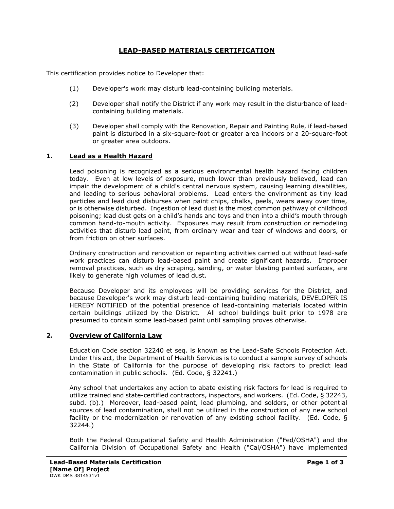## **LEAD-BASED MATERIALS CERTIFICATION**

This certification provides notice to Developer that:

- (1) Developer's work may disturb lead-containing building materials.
- (2) Developer shall notify the District if any work may result in the disturbance of leadcontaining building materials.
- (3) Developer shall comply with the Renovation, Repair and Painting Rule, if lead-based paint is disturbed in a six-square-foot or greater area indoors or a 20-square-foot or greater area outdoors.

#### **1. Lead as a Health Hazard**

Lead poisoning is recognized as a serious environmental health hazard facing children today. Even at low levels of exposure, much lower than previously believed, lead can impair the development of a child's central nervous system, causing learning disabilities, and leading to serious behavioral problems. Lead enters the environment as tiny lead particles and lead dust disburses when paint chips, chalks, peels, wears away over time, or is otherwise disturbed. Ingestion of lead dust is the most common pathway of childhood poisoning; lead dust gets on a child's hands and toys and then into a child's mouth through common hand-to-mouth activity. Exposures may result from construction or remodeling activities that disturb lead paint, from ordinary wear and tear of windows and doors, or from friction on other surfaces.

Ordinary construction and renovation or repainting activities carried out without lead-safe work practices can disturb lead-based paint and create significant hazards. Improper removal practices, such as dry scraping, sanding, or water blasting painted surfaces, are likely to generate high volumes of lead dust.

Because Developer and its employees will be providing services for the District, and because Developer's work may disturb lead-containing building materials, DEVELOPER IS HEREBY NOTIFIED of the potential presence of lead-containing materials located within certain buildings utilized by the District. All school buildings built prior to 1978 are presumed to contain some lead-based paint until sampling proves otherwise.

#### **2. Overview of California Law**

Education Code section 32240 et seq. is known as the Lead-Safe Schools Protection Act. Under this act, the Department of Health Services is to conduct a sample survey of schools in the State of California for the purpose of developing risk factors to predict lead contamination in public schools. (Ed. Code, § 32241.)

Any school that undertakes any action to abate existing risk factors for lead is required to utilize trained and state-certified contractors, inspectors, and workers. (Ed. Code, § 32243, subd. (b).) Moreover, lead-based paint, lead plumbing, and solders, or other potential sources of lead contamination, shall not be utilized in the construction of any new school facility or the modernization or renovation of any existing school facility. (Ed. Code, § 32244.)

Both the Federal Occupational Safety and Health Administration ("Fed/OSHA") and the California Division of Occupational Safety and Health ("Cal/OSHA") have implemented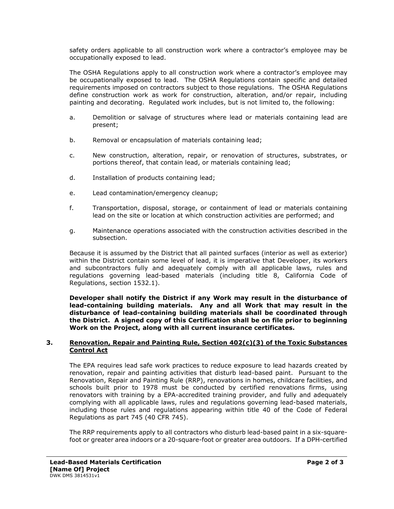safety orders applicable to all construction work where a contractor's employee may be occupationally exposed to lead.

The OSHA Regulations apply to all construction work where a contractor's employee may be occupationally exposed to lead. The OSHA Regulations contain specific and detailed requirements imposed on contractors subject to those regulations. The OSHA Regulations define construction work as work for construction, alteration, and/or repair, including painting and decorating. Regulated work includes, but is not limited to, the following:

- a. Demolition or salvage of structures where lead or materials containing lead are present;
- b. Removal or encapsulation of materials containing lead;
- c. New construction, alteration, repair, or renovation of structures, substrates, or portions thereof, that contain lead, or materials containing lead;
- d. Installation of products containing lead;
- e. Lead contamination/emergency cleanup;
- f. Transportation, disposal, storage, or containment of lead or materials containing lead on the site or location at which construction activities are performed; and
- g. Maintenance operations associated with the construction activities described in the subsection.

Because it is assumed by the District that all painted surfaces (interior as well as exterior) within the District contain some level of lead, it is imperative that Developer, its workers and subcontractors fully and adequately comply with all applicable laws, rules and regulations governing lead-based materials (including title 8, California Code of Regulations, section 1532.1).

**Developer shall notify the District if any Work may result in the disturbance of lead-containing building materials. Any and all Work that may result in the disturbance of lead-containing building materials shall be coordinated through the District. A signed copy of this Certification shall be on file prior to beginning Work on the Project, along with all current insurance certificates.**

#### **3. Renovation, Repair and Painting Rule, Section 402(c)(3) of the Toxic Substances Control Act**

The EPA requires lead safe work practices to reduce exposure to lead hazards created by renovation, repair and painting activities that disturb lead-based paint. Pursuant to the Renovation, Repair and Painting Rule (RRP), renovations in homes, childcare facilities, and schools built prior to 1978 must be conducted by certified renovations firms, using renovators with training by a EPA-accredited training provider, and fully and adequately complying with all applicable laws, rules and regulations governing lead-based materials, including those rules and regulations appearing within title 40 of the Code of Federal Regulations as part 745 (40 CFR 745).

The RRP requirements apply to all contractors who disturb lead-based paint in a six-squarefoot or greater area indoors or a 20-square-foot or greater area outdoors. If a DPH-certified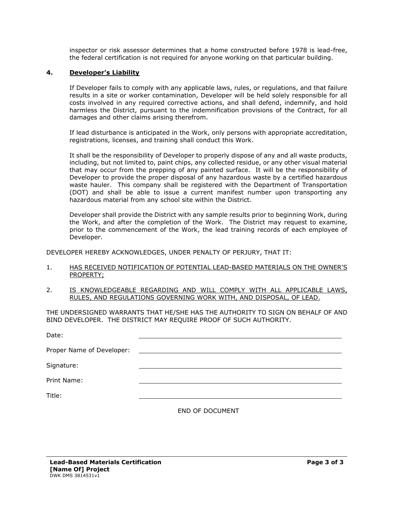inspector or risk assessor determines that a home constructed before 1978 is lead-free, the federal certification is not required for anyone working on that particular building.

#### **4. Developer's Liability**

If Developer fails to comply with any applicable laws, rules, or regulations, and that failure results in a site or worker contamination, Developer will be held solely responsible for all costs involved in any required corrective actions, and shall defend, indemnify, and hold harmless the District, pursuant to the indemnification provisions of the Contract, for all damages and other claims arising therefrom.

If lead disturbance is anticipated in the Work, only persons with appropriate accreditation, registrations, licenses, and training shall conduct this Work.

It shall be the responsibility of Developer to properly dispose of any and all waste products, including, but not limited to, paint chips, any collected residue, or any other visual material that may occur from the prepping of any painted surface. It will be the responsibility of Developer to provide the proper disposal of any hazardous waste by a certified hazardous waste hauler. This company shall be registered with the Department of Transportation (DOT) and shall be able to issue a current manifest number upon transporting any hazardous material from any school site within the District.

Developer shall provide the District with any sample results prior to beginning Work, during the Work, and after the completion of the Work. The District may request to examine, prior to the commencement of the Work, the lead training records of each employee of Developer.

DEVELOPER HEREBY ACKNOWLEDGES, UNDER PENALTY OF PERJURY, THAT IT:

- 1. HAS RECEIVED NOTIFICATION OF POTENTIAL LEAD-BASED MATERIALS ON THE OWNER'S PROPERTY;
- 2. IS KNOWLEDGEABLE REGARDING AND WILL COMPLY WITH ALL APPLICABLE LAWS, RULES, AND REGULATIONS GOVERNING WORK WITH, AND DISPOSAL, OF LEAD.

THE UNDERSIGNED WARRANTS THAT HE/SHE HAS THE AUTHORITY TO SIGN ON BEHALF OF AND BIND DEVELOPER. THE DISTRICT MAY REQUIRE PROOF OF SUCH AUTHORITY.

| Date:       |                        |
|-------------|------------------------|
|             |                        |
| Signature:  |                        |
| Print Name: |                        |
| Title:      |                        |
|             | <b>END OF DOCUMENT</b> |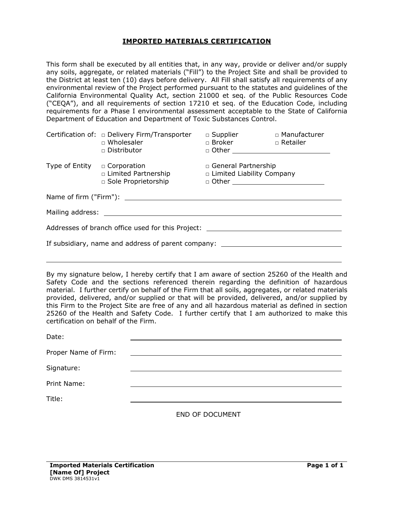#### **IMPORTED MATERIALS CERTIFICATION**

This form shall be executed by all entities that, in any way, provide or deliver and/or supply any soils, aggregate, or related materials ("Fill") to the Project Site and shall be provided to the District at least ten (10) days before delivery. All Fill shall satisfy all requirements of any environmental review of the Project performed pursuant to the statutes and guidelines of the California Environmental Quality Act, section 21000 et seq. of the Public Resources Code ("CEQA"), and all requirements of section 17210 et seq. of the Education Code, including requirements for a Phase I environmental assessment acceptable to the State of California Department of Education and Department of Toxic Substances Control.

|                                                                                                                                                                                                                               | Certification of: $\Box$ Delivery Firm/Transporter<br>$\Box$ Wholesaler<br>□ Distributor | □ Supplier □ △ Manufacturer<br>□ Broker □ Retailer<br>$\Box$ Other $\Box$ |  |  |  |
|-------------------------------------------------------------------------------------------------------------------------------------------------------------------------------------------------------------------------------|------------------------------------------------------------------------------------------|---------------------------------------------------------------------------|--|--|--|
| Type of Entity $\Box$ Corporation                                                                                                                                                                                             | □ Limited Partnership<br>□ Sole Proprietorship                                           | □ General Partnership<br>□ Limited Liability Company                      |  |  |  |
|                                                                                                                                                                                                                               |                                                                                          |                                                                           |  |  |  |
| Mailing address: Note that the state of the state of the state of the state of the state of the state of the state of the state of the state of the state of the state of the state of the state of the state of the state of |                                                                                          |                                                                           |  |  |  |
| Addresses of branch office used for this Project:                                                                                                                                                                             |                                                                                          |                                                                           |  |  |  |
| If subsidiary, name and address of parent company: _____________________________                                                                                                                                              |                                                                                          |                                                                           |  |  |  |
|                                                                                                                                                                                                                               |                                                                                          |                                                                           |  |  |  |

By my signature below, I hereby certify that I am aware of section 25260 of the Health and Safety Code and the sections referenced therein regarding the definition of hazardous material. I further certify on behalf of the Firm that all soils, aggregates, or related materials provided, delivered, and/or supplied or that will be provided, delivered, and/or supplied by this Firm to the Project Site are free of any and all hazardous material as defined in section 25260 of the Health and Safety Code. I further certify that I am authorized to make this certification on behalf of the Firm.

| Date:                |                                                                                                                      |
|----------------------|----------------------------------------------------------------------------------------------------------------------|
| Proper Name of Firm: | <u> Alexandria de la contrada de la contrada de la contrada de la contrada de la contrada de la contrada de la c</u> |
| Signature:           |                                                                                                                      |
| Print Name:          |                                                                                                                      |
| Title:               |                                                                                                                      |
|                      | $F \cup F$ $F$ $F \cap F$                                                                                            |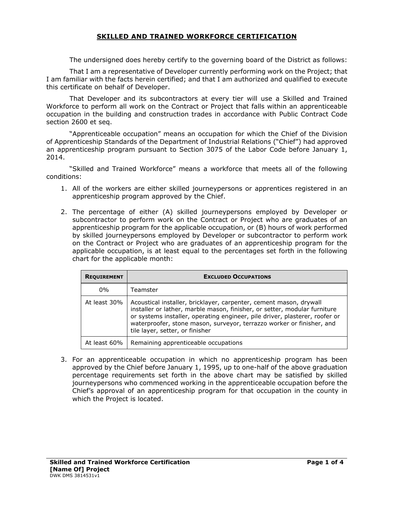## **SKILLED AND TRAINED WORKFORCE CERTIFICATION**

The undersigned does hereby certify to the governing board of the District as follows:

That I am a representative of Developer currently performing work on the Project; that I am familiar with the facts herein certified; and that I am authorized and qualified to execute this certificate on behalf of Developer.

That Developer and its subcontractors at every tier will use a Skilled and Trained Workforce to perform all work on the Contract or Project that falls within an apprenticeable occupation in the building and construction trades in accordance with Public Contract Code section 2600 et seq.

"Apprenticeable occupation" means an occupation for which the Chief of the Division of Apprenticeship Standards of the Department of Industrial Relations ("Chief") had approved an apprenticeship program pursuant to Section 3075 of the Labor Code before January 1, 2014.

"Skilled and Trained Workforce" means a workforce that meets all of the following conditions:

- 1. All of the workers are either skilled journeypersons or apprentices registered in an apprenticeship program approved by the Chief.
- 2. The percentage of either (A) skilled journeypersons employed by Developer or subcontractor to perform work on the Contract or Project who are graduates of an apprenticeship program for the applicable occupation, or (B) hours of work performed by skilled journeypersons employed by Developer or subcontractor to perform work on the Contract or Project who are graduates of an apprenticeship program for the applicable occupation, is at least equal to the percentages set forth in the following chart for the applicable month:

| <b>REQUIREMENT</b> | <b>EXCLUDED OCCUPATIONS</b>                                                                                                                                                                                                                                                                                                                |
|--------------------|--------------------------------------------------------------------------------------------------------------------------------------------------------------------------------------------------------------------------------------------------------------------------------------------------------------------------------------------|
| $0\%$              | Teamster                                                                                                                                                                                                                                                                                                                                   |
| At least 30%       | Acoustical installer, bricklayer, carpenter, cement mason, drywall<br>installer or lather, marble mason, finisher, or setter, modular furniture<br>or systems installer, operating engineer, pile driver, plasterer, roofer or<br>waterproofer, stone mason, surveyor, terrazzo worker or finisher, and<br>tile layer, setter, or finisher |
| At least 60%       | Remaining apprenticeable occupations                                                                                                                                                                                                                                                                                                       |

3. For an apprenticeable occupation in which no apprenticeship program has been approved by the Chief before January 1, 1995, up to one-half of the above graduation percentage requirements set forth in the above chart may be satisfied by skilled journeypersons who commenced working in the apprenticeable occupation before the Chief's approval of an apprenticeship program for that occupation in the county in which the Project is located.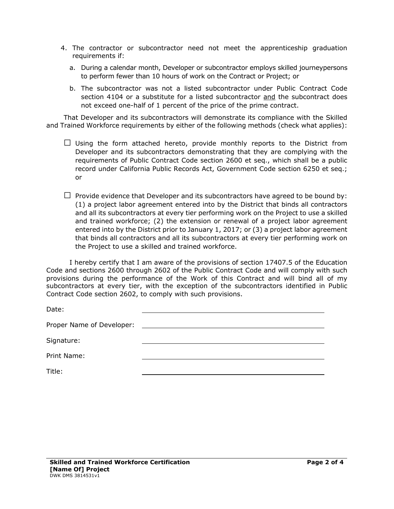- 4. The contractor or subcontractor need not meet the apprenticeship graduation requirements if:
	- a. During a calendar month, Developer or subcontractor employs skilled journeypersons to perform fewer than 10 hours of work on the Contract or Project; or
	- b. The subcontractor was not a listed subcontractor under Public Contract Code section 4104 or a substitute for a listed subcontractor and the subcontract does not exceed one-half of 1 percent of the price of the prime contract.

That Developer and its subcontractors will demonstrate its compliance with the Skilled and Trained Workforce requirements by either of the following methods (check what applies):

- $\square$  Using the form attached hereto, provide monthly reports to the District from Developer and its subcontractors demonstrating that they are complying with the requirements of Public Contract Code section 2600 et seq., which shall be a public record under California Public Records Act, Government Code section 6250 et seq.; or
- $\Box$  Provide evidence that Developer and its subcontractors have agreed to be bound by: (1) a project labor agreement entered into by the District that binds all contractors and all its subcontractors at every tier performing work on the Project to use a skilled and trained workforce; (2) the extension or renewal of a project labor agreement entered into by the District prior to January 1, 2017; or (3) a project labor agreement that binds all contractors and all its subcontractors at every tier performing work on the Project to use a skilled and trained workforce.

I hereby certify that I am aware of the provisions of section 17407.5 of the Education Code and sections 2600 through 2602 of the Public Contract Code and will comply with such provisions during the performance of the Work of this Contract and will bind all of my subcontractors at every tier, with the exception of the subcontractors identified in Public Contract Code section 2602, to comply with such provisions.

Date:

Proper Name of Developer:

Signature:

Print Name:

Title: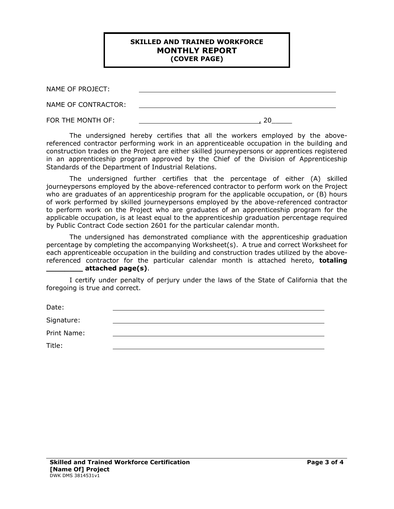#### **SKILLED AND TRAINED WORKFORCE MONTHLY REPORT (COVER PAGE)**

| NAME OF PROJECT:    |  |
|---------------------|--|
| NAME OF CONTRACTOR: |  |
| FOR THE MONTH OF:   |  |

The undersigned hereby certifies that all the workers employed by the abovereferenced contractor performing work in an apprenticeable occupation in the building and construction trades on the Project are either skilled journeypersons or apprentices registered in an apprenticeship program approved by the Chief of the Division of Apprenticeship Standards of the Department of Industrial Relations.

The undersigned further certifies that the percentage of either (A) skilled journeypersons employed by the above-referenced contractor to perform work on the Project who are graduates of an apprenticeship program for the applicable occupation, or (B) hours of work performed by skilled journeypersons employed by the above-referenced contractor to perform work on the Project who are graduates of an apprenticeship program for the applicable occupation, is at least equal to the apprenticeship graduation percentage required by Public Contract Code section 2601 for the particular calendar month.

The undersigned has demonstrated compliance with the apprenticeship graduation percentage by completing the accompanying Worksheet(s). A true and correct Worksheet for each apprenticeable occupation in the building and construction trades utilized by the abovereferenced contractor for the particular calendar month is attached hereto, **totaling \_\_\_\_\_\_\_\_ attached page(s)**.

I certify under penalty of perjury under the laws of the State of California that the foregoing is true and correct.

Date:

Signature:

Print Name:

Title: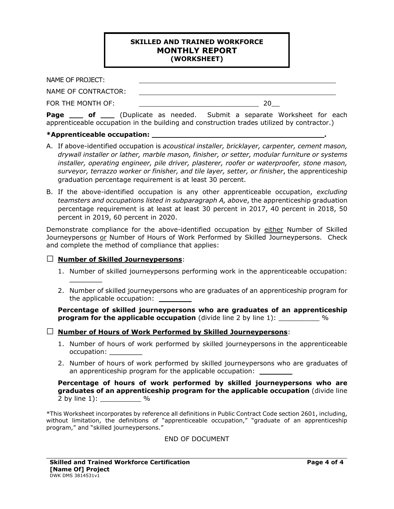#### **SKILLED AND TRAINED WORKFORCE MONTHLY REPORT (WORKSHEET)**

NAME OF PROJECT: NAME OF CONTRACTOR:

FOR THE MONTH OF: 20\_\_

**Page bolecal of** (Duplicate as needed. Submit a separate Worksheet for each apprenticeable occupation in the building and construction trades utilized by contractor.)

## **\*Apprenticeable occupation: .**

- A. If above-identified occupation is *acoustical installer, bricklayer, carpenter, cement mason, drywall installer or lather, marble mason, finisher, or setter, modular furniture or systems installer, operating engineer, pile driver, plasterer, roofer or waterproofer, stone mason, surveyor, terrazzo worker or finisher, and tile layer, setter, or finisher*, the apprenticeship graduation percentage requirement is at least 30 percent.
- B. If the above-identified occupation is any other apprenticeable occupation, *excluding teamsters and occupations listed in subparagraph A, above*, the apprenticeship graduation percentage requirement is at least at least 30 percent in 2017, 40 percent in 2018, 50 percent in 2019, 60 percent in 2020.

Demonstrate compliance for the above-identified occupation by either Number of Skilled Journeypersons or Number of Hours of Work Performed by Skilled Journeypersons. Check and complete the method of compliance that applies:

## □ **Number of Skilled Journeypersons**:

 $\frac{1}{2}$ 

- 1. Number of skilled journeypersons performing work in the apprenticeable occupation:
- 2. Number of skilled journeypersons who are graduates of an apprenticeship program for the applicable occupation:

**Percentage of skilled journeypersons who are graduates of an apprenticeship program for the applicable occupation** (divide line 2 by line 1): \_\_\_\_\_\_\_\_\_\_ %

## □ **Number of Hours of Work Performed by Skilled Journeypersons**:

- 1. Number of hours of work performed by skilled journeypersons in the apprenticeable occupation: \_\_\_\_\_\_\_\_
- 2. Number of hours of work performed by skilled journeypersons who are graduates of an apprenticeship program for the applicable occupation:

#### **Percentage of hours of work performed by skilled journeypersons who are graduates of an apprenticeship program for the applicable occupation** (divide line 2 by line 1): \_\_\_\_\_\_\_\_\_\_ %

\*This Worksheet incorporates by reference all definitions in Public Contract Code section 2601, including, without limitation, the definitions of "apprenticeable occupation," "graduate of an apprenticeship program," and "skilled journeypersons."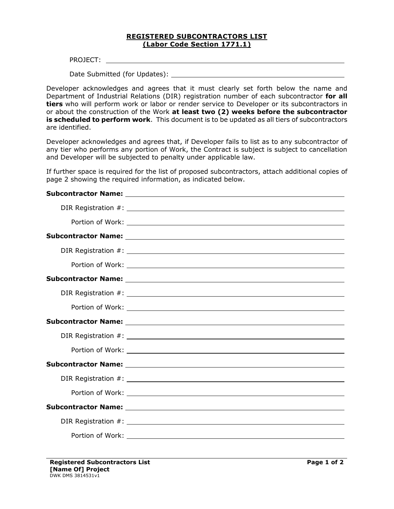#### **REGISTERED SUBCONTRACTORS LIST (Labor Code Section 1771.1)**

PROJECT:

Date Submitted (for Updates):

Developer acknowledges and agrees that it must clearly set forth below the name and Department of Industrial Relations (DIR) registration number of each subcontractor **for all tiers** who will perform work or labor or render service to Developer or its subcontractors in or about the construction of the Work **at least two (2) weeks before the subcontractor is scheduled to perform work**. This document is to be updated as all tiers of subcontractors are identified.

Developer acknowledges and agrees that, if Developer fails to list as to any subcontractor of any tier who performs any portion of Work, the Contract is subject is subject to cancellation and Developer will be subjected to penalty under applicable law.

If further space is required for the list of proposed subcontractors, attach additional copies of page 2 showing the required information, as indicated below.

#### **Subcontractor Name:**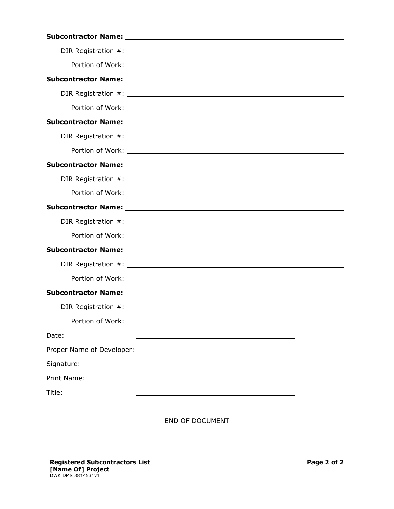|                  | Subcontractor Name: Name and Subset of Alberta Alberta Alberta Alberta Alberta Alberta Alberta Alberta Alberta  |  |
|------------------|-----------------------------------------------------------------------------------------------------------------|--|
|                  |                                                                                                                 |  |
|                  |                                                                                                                 |  |
|                  | Subcontractor Name: Name and Subsequent Assembly and Subcontractor Name and Subsequent Assembly and Subsequent  |  |
|                  |                                                                                                                 |  |
|                  |                                                                                                                 |  |
|                  |                                                                                                                 |  |
|                  |                                                                                                                 |  |
|                  |                                                                                                                 |  |
|                  | Subcontractor Name: Name and Subcontractor Name and Subcontractor Name and Subcontractor Name and Subcontractor |  |
|                  |                                                                                                                 |  |
|                  |                                                                                                                 |  |
|                  |                                                                                                                 |  |
|                  |                                                                                                                 |  |
|                  |                                                                                                                 |  |
|                  |                                                                                                                 |  |
|                  |                                                                                                                 |  |
| Portion of Work: |                                                                                                                 |  |
| Date:            |                                                                                                                 |  |
|                  |                                                                                                                 |  |
| Signature:       |                                                                                                                 |  |
| Print Name:      |                                                                                                                 |  |
| Title:           |                                                                                                                 |  |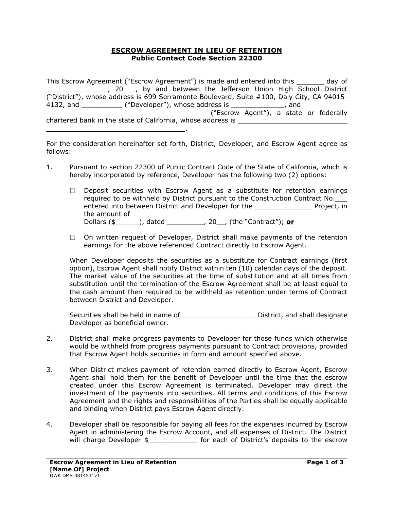#### **ESCROW AGREEMENT IN LIEU OF RETENTION Public Contact Code Section 22300**

This Escrow Agreement ("Escrow Agreement") is made and entered into this \_\_\_\_\_\_\_ day of 10. Voltage Marken the Jefferson Union High School District ("District"), whose address is 699 Serramonte Boulevard, Suite #100, Daly City, CA 94015- 4132, and \_\_\_\_\_\_\_\_\_\_ ("Developer"), whose address is \_\_\_\_\_\_\_\_\_\_\_\_\_, and ("Escrow Agent"), a state or federally chartered bank in the state of California, whose address is .

For the consideration hereinafter set forth, District, Developer, and Escrow Agent agree as follows:

- 1. Pursuant to section 22300 of Public Contract Code of the State of California, which is hereby incorporated by reference, Developer has the following two (2) options:
	- $\Box$  Deposit securities with Escrow Agent as a substitute for retention earnings required to be withheld by District pursuant to the Construction Contract No. entered into between District and Developer for the \_\_\_\_\_\_\_\_\_\_\_\_\_\_ Project, in the amount of \_\_\_\_\_\_\_\_\_ Dollars (\$ ), dated \_\_\_\_\_\_\_\_\_, 20\_\_, (the "Contract"); **or**
	- $\Box$  On written request of Developer, District shall make payments of the retention earnings for the above referenced Contract directly to Escrow Agent.

When Developer deposits the securities as a substitute for Contract earnings (first option), Escrow Agent shall notify District within ten (10) calendar days of the deposit. The market value of the securities at the time of substitution and at all times from substitution until the termination of the Escrow Agreement shall be at least equal to the cash amount then required to be withheld as retention under terms of Contract between District and Developer.

Securities shall be held in name of **Example 20** District, and shall designate Developer as beneficial owner.

- 2. District shall make progress payments to Developer for those funds which otherwise would be withheld from progress payments pursuant to Contract provisions, provided that Escrow Agent holds securities in form and amount specified above.
- 3. When District makes payment of retention earned directly to Escrow Agent, Escrow Agent shall hold them for the benefit of Developer until the time that the escrow created under this Escrow Agreement is terminated. Developer may direct the investment of the payments into securities. All terms and conditions of this Escrow Agreement and the rights and responsibilities of the Parties shall be equally applicable and binding when District pays Escrow Agent directly.
- 4. Developer shall be responsible for paying all fees for the expenses incurred by Escrow Agent in administering the Escrow Account, and all expenses of District. The District will charge Developer \$ \_\_\_\_\_\_\_\_\_\_\_\_\_ for each of District's deposits to the escrow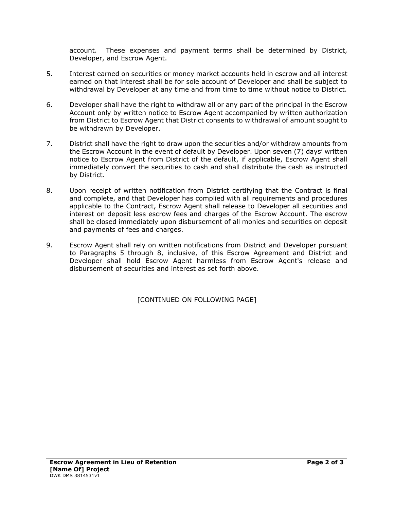account. These expenses and payment terms shall be determined by District, Developer, and Escrow Agent.

- 5. Interest earned on securities or money market accounts held in escrow and all interest earned on that interest shall be for sole account of Developer and shall be subject to withdrawal by Developer at any time and from time to time without notice to District.
- 6. Developer shall have the right to withdraw all or any part of the principal in the Escrow Account only by written notice to Escrow Agent accompanied by written authorization from District to Escrow Agent that District consents to withdrawal of amount sought to be withdrawn by Developer.
- 7. District shall have the right to draw upon the securities and/or withdraw amounts from the Escrow Account in the event of default by Developer. Upon seven (7) days' written notice to Escrow Agent from District of the default, if applicable, Escrow Agent shall immediately convert the securities to cash and shall distribute the cash as instructed by District.
- 8. Upon receipt of written notification from District certifying that the Contract is final and complete, and that Developer has complied with all requirements and procedures applicable to the Contract, Escrow Agent shall release to Developer all securities and interest on deposit less escrow fees and charges of the Escrow Account. The escrow shall be closed immediately upon disbursement of all monies and securities on deposit and payments of fees and charges.
- 9. Escrow Agent shall rely on written notifications from District and Developer pursuant to Paragraphs 5 through 8, inclusive, of this Escrow Agreement and District and Developer shall hold Escrow Agent harmless from Escrow Agent's release and disbursement of securities and interest as set forth above.

[CONTINUED ON FOLLOWING PAGE]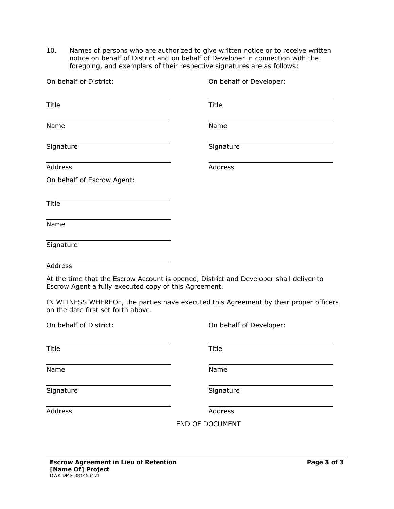10. Names of persons who are authorized to give written notice or to receive written notice on behalf of District and on behalf of Developer in connection with the foregoing, and exemplars of their respective signatures are as follows:

| On behalf of District:                                | On behalf of Developer:                                                                |
|-------------------------------------------------------|----------------------------------------------------------------------------------------|
| <b>Title</b>                                          | Title                                                                                  |
| Name                                                  | Name                                                                                   |
| Signature                                             | Signature                                                                              |
| Address                                               | Address                                                                                |
| On behalf of Escrow Agent:                            |                                                                                        |
| <b>Title</b>                                          |                                                                                        |
| Name                                                  |                                                                                        |
| Signature                                             |                                                                                        |
| Address                                               |                                                                                        |
| Escrow Agent a fully executed copy of this Agreement. | At the time that the Escrow Account is opened, District and Developer shall deliver to |
| on the date first set forth above.                    | IN WITNESS WHEREOF, the parties have executed this Agreement by their proper officers  |
| On behalf of District:                                | On behalf of Developer:                                                                |
| <b>Title</b>                                          | <b>Title</b>                                                                           |

Name Name

Signature Signature Signature

Address Address Address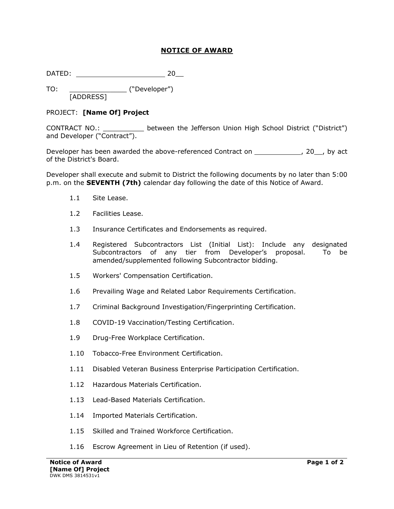## **NOTICE OF AWARD**

DATED: 20\_\_

TO: \_\_\_\_\_\_\_\_\_\_\_\_\_\_ ("Developer") [ADDRESS]

## PROJECT: **[Name Of] Project**

CONTRACT NO.: \_\_\_\_\_\_\_\_\_\_ between the Jefferson Union High School District ("District") and Developer ("Contract").

Developer has been awarded the above-referenced Contract on \_\_\_\_\_\_\_\_\_\_\_\_\_\_, 20\_\_, by act of the District's Board.

Developer shall execute and submit to District the following documents by no later than 5:00 p.m. on the **SEVENTH (7th)** calendar day following the date of this Notice of Award.

- 1.1 Site Lease.
- 1.2 Facilities Lease.
- 1.3 Insurance Certificates and Endorsements as required.
- 1.4 Registered Subcontractors List (Initial List): Include any designated Subcontractors of any tier from Developer's proposal. To be amended/supplemented following Subcontractor bidding.
- 1.5 Workers' Compensation Certification.
- 1.6 Prevailing Wage and Related Labor Requirements Certification.
- 1.7 Criminal Background Investigation/Fingerprinting Certification.
- 1.8 COVID-19 Vaccination/Testing Certification.
- 1.9 Drug-Free Workplace Certification.
- 1.10 Tobacco-Free Environment Certification.
- 1.11 Disabled Veteran Business Enterprise Participation Certification.
- 1.12 Hazardous Materials Certification.
- 1.13 Lead-Based Materials Certification.
- 1.14 Imported Materials Certification.
- 1.15 Skilled and Trained Workforce Certification.
- 1.16 Escrow Agreement in Lieu of Retention (if used).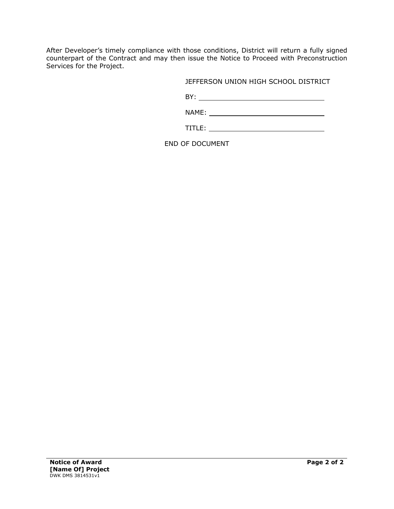After Developer's timely compliance with those conditions, District will return a fully signed counterpart of the Contract and may then issue the Notice to Proceed with Preconstruction Services for the Project.

JEFFERSON UNION HIGH SCHOOL DISTRICT

BY:

NAME:

TITLE: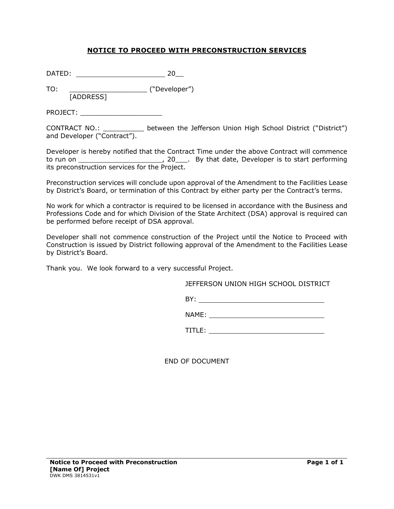## **NOTICE TO PROCEED WITH PRECONSTRUCTION SERVICES**

DATED: 20\_\_

TO: \_\_\_\_\_\_\_\_\_\_\_\_\_\_\_\_\_\_\_ ("Developer") [ADDRESS]

PROJECT: \_\_\_\_\_\_\_\_\_\_\_\_\_\_\_\_\_\_\_\_

CONTRACT NO.: \_\_\_\_\_\_\_\_\_\_ between the Jefferson Union High School District ("District") and Developer ("Contract").

Developer is hereby notified that the Contract Time under the above Contract will commence to run on , 20\_\_\_. By that date, Developer is to start performing its preconstruction services for the Project.

Preconstruction services will conclude upon approval of the Amendment to the Facilities Lease by District's Board, or termination of this Contract by either party per the Contract's terms.

No work for which a contractor is required to be licensed in accordance with the Business and Professions Code and for which Division of the State Architect (DSA) approval is required can be performed before receipt of DSA approval.

Developer shall not commence construction of the Project until the Notice to Proceed with Construction is issued by District following approval of the Amendment to the Facilities Lease by District's Board.

Thank you. We look forward to a very successful Project.

JEFFERSON UNION HIGH SCHOOL DISTRICT

BY:

NAME:

TITLE: **TITLE:**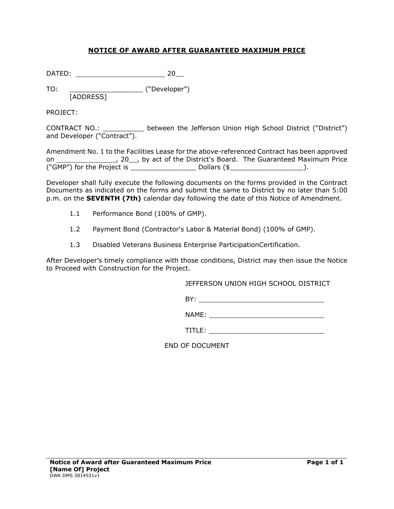## **NOTICE OF AWARD AFTER GUARANTEED MAXIMUM PRICE**

DATED: 20\_\_

TO: \_\_\_\_\_\_\_\_\_\_\_\_\_\_\_\_\_\_\_\_\_\_\_\_\_\_\_ ("Developer") [ADDRESS]

PROJECT:

CONTRACT NO.: \_\_\_\_\_\_\_\_\_\_ between the Jefferson Union High School District ("District") and Developer ("Contract").

Amendment No. 1 to the Facilities Lease for the above-referenced Contract has been approved on \_\_\_\_\_\_\_\_\_\_\_\_\_\_\_\_\_, 20\_\_, by act of the District's Board. The Guaranteed Maximum Price ("GMP") for the Project is \_\_\_\_\_\_\_\_\_\_\_\_\_\_\_\_ Dollars (\$\_\_\_\_\_\_\_\_\_\_\_\_\_\_\_\_\_\_).

Developer shall fully execute the following documents on the forms provided in the Contract Documents as indicated on the forms and submit the same to District by no later than 5:00 p.m. on the **SEVENTH (7th)** calendar day following the date of this Notice of Amendment.

- 1.1 Performance Bond (100% of GMP).
- 1.2 Payment Bond (Contractor's Labor & Material Bond) (100% of GMP).
- 1.3 Disabled Veterans Business Enterprise ParticipationCertification.

After Developer's timely compliance with those conditions, District may then issue the Notice to Proceed with Construction for the Project.

JEFFERSON UNION HIGH SCHOOL DISTRICT

BY:

NAME:

TITLE: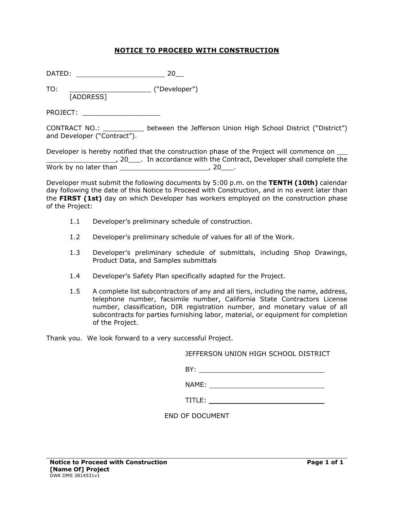## **NOTICE TO PROCEED WITH CONSTRUCTION**

DATED: 20\_\_

TO: \_\_\_\_\_\_\_\_\_\_\_\_\_\_\_\_\_\_\_\_ ("Developer") [ADDRESS]

PROJECT: \_\_\_\_\_\_\_\_\_\_\_\_\_\_\_\_\_\_\_

CONTRACT NO.: \_\_\_\_\_\_\_\_\_\_ between the Jefferson Union High School District ("District") and Developer ("Contract").

Developer is hereby notified that the construction phase of the Project will commence on  $\_\_$ <sup>1</sup>, 20<sub>\_\_\_\_</sub>. In accordance with the Contract, Developer shall complete the Work by no later than  $\sim$  20\_\_\_.

Developer must submit the following documents by 5:00 p.m. on the **TENTH (10th)** calendar day following the date of this Notice to Proceed with Construction, and in no event later than the **FIRST (1st)** day on which Developer has workers employed on the construction phase of the Project:

- 1.1 Developer's preliminary schedule of construction.
- 1.2 Developer's preliminary schedule of values for all of the Work.
- 1.3 Developer's preliminary schedule of submittals, including Shop Drawings, Product Data, and Samples submittals
- 1.4 Developer's Safety Plan specifically adapted for the Project.
- 1.5 A complete list subcontractors of any and all tiers, including the name, address, telephone number, facsimile number, California State Contractors License number, classification, DIR registration number, and monetary value of all subcontracts for parties furnishing labor, material, or equipment for completion of the Project.

Thank you. We look forward to a very successful Project.

JEFFERSON UNION HIGH SCHOOL DISTRICT

BY:

NAME:

TITLE: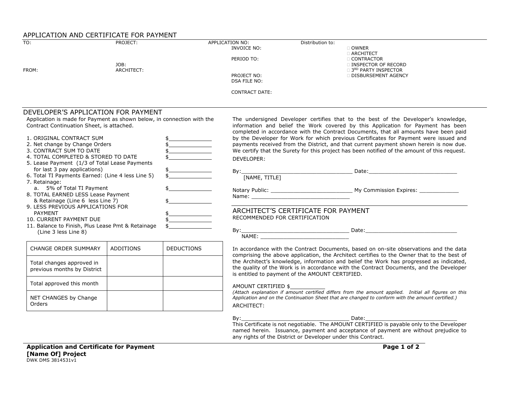#### APPLICATION AND CERTIFICATE FOR PAYMENT

| $\overline{TO}$ :                                                      | PROJECT:         |                                                                                                                                                                                                                                                                                                                                                                                                                                                                                                 | APPLICATION NO:<br>INVOICE NO: | Distribution to:                                | $\Box$ OWNER<br><b>D ARCHITECT</b>                                                                                                                                                                        |
|------------------------------------------------------------------------|------------------|-------------------------------------------------------------------------------------------------------------------------------------------------------------------------------------------------------------------------------------------------------------------------------------------------------------------------------------------------------------------------------------------------------------------------------------------------------------------------------------------------|--------------------------------|-------------------------------------------------|-----------------------------------------------------------------------------------------------------------------------------------------------------------------------------------------------------------|
|                                                                        | JOB:             |                                                                                                                                                                                                                                                                                                                                                                                                                                                                                                 | PERIOD TO:                     |                                                 | <b>CONTRACTOR</b><br><b>INSPECTOR OF RECORD</b>                                                                                                                                                           |
| FROM:                                                                  | ARCHITECT:       |                                                                                                                                                                                                                                                                                                                                                                                                                                                                                                 | PROJECT NO:<br>DSA FILE NO:    |                                                 | <b>D</b> 3 <sup>RD</sup> PARTY INSPECTOR<br>DISBURSEMENT AGENCY                                                                                                                                           |
|                                                                        |                  |                                                                                                                                                                                                                                                                                                                                                                                                                                                                                                 | <b>CONTRACT DATE:</b>          |                                                 |                                                                                                                                                                                                           |
| DEVELOPER'S APPLICATION FOR PAYMENT                                    |                  |                                                                                                                                                                                                                                                                                                                                                                                                                                                                                                 |                                |                                                 |                                                                                                                                                                                                           |
| Application is made for Payment as shown below, in connection with the |                  |                                                                                                                                                                                                                                                                                                                                                                                                                                                                                                 |                                |                                                 | The undersigned Developer certifies that to the best of the Developer's knowledge,                                                                                                                        |
| Contract Continuation Sheet, is attached.                              |                  |                                                                                                                                                                                                                                                                                                                                                                                                                                                                                                 |                                |                                                 | information and belief the Work covered by this Application for Payment has been<br>completed in accordance with the Contract Documents, that all amounts have been paid                                  |
| 1. ORIGINAL CONTRACT SUM                                               |                  |                                                                                                                                                                                                                                                                                                                                                                                                                                                                                                 |                                |                                                 | by the Developer for Work for which previous Certificates for Payment were issued and                                                                                                                     |
| 2. Net change by Change Orders                                         |                  | \$__________________                                                                                                                                                                                                                                                                                                                                                                                                                                                                            |                                |                                                 | payments received from the District, and that current payment shown herein is now due.                                                                                                                    |
| 3. CONTRACT SUM TO DATE                                                |                  |                                                                                                                                                                                                                                                                                                                                                                                                                                                                                                 |                                |                                                 | We certify that the Surety for this project has been notified of the amount of this request.                                                                                                              |
| 4. TOTAL COMPLETED & STORED TO DATE                                    |                  |                                                                                                                                                                                                                                                                                                                                                                                                                                                                                                 | DEVELOPER:                     |                                                 |                                                                                                                                                                                                           |
| 5. Lease Payment (1/3 of Total Lease Payments                          |                  |                                                                                                                                                                                                                                                                                                                                                                                                                                                                                                 |                                |                                                 |                                                                                                                                                                                                           |
| for last 3 pay applications)                                           |                  | $\frac{1}{5}$                                                                                                                                                                                                                                                                                                                                                                                                                                                                                   |                                |                                                 |                                                                                                                                                                                                           |
| 6. Total TI Payments Earned: (Line 4 less Line 5)                      |                  |                                                                                                                                                                                                                                                                                                                                                                                                                                                                                                 |                                |                                                 |                                                                                                                                                                                                           |
| 7. Retainage:                                                          |                  |                                                                                                                                                                                                                                                                                                                                                                                                                                                                                                 |                                |                                                 |                                                                                                                                                                                                           |
| a. 5% of Total TI Payment                                              |                  |                                                                                                                                                                                                                                                                                                                                                                                                                                                                                                 |                                |                                                 |                                                                                                                                                                                                           |
| 8. TOTAL EARNED LESS Lease Payment                                     |                  |                                                                                                                                                                                                                                                                                                                                                                                                                                                                                                 |                                |                                                 |                                                                                                                                                                                                           |
| & Retainage (Line 6 less Line 7)                                       |                  |                                                                                                                                                                                                                                                                                                                                                                                                                                                                                                 |                                |                                                 |                                                                                                                                                                                                           |
| 9. LESS PREVIOUS APPLICATIONS FOR                                      |                  |                                                                                                                                                                                                                                                                                                                                                                                                                                                                                                 |                                | ARCHITECT'S CERTIFICATE FOR PAYMENT             |                                                                                                                                                                                                           |
| <b>PAYMENT</b>                                                         |                  | $\begin{tabular}{c} \multicolumn{2}{c} {\textbf{1}} & \multicolumn{2}{c} {\textbf{1}} & \multicolumn{2}{c} {\textbf{1}} \\ \multicolumn{2}{c} {\textbf{1}} & \multicolumn{2}{c} {\textbf{1}} & \multicolumn{2}{c} {\textbf{1}} \\ \multicolumn{2}{c} {\textbf{1}} & \multicolumn{2}{c} {\textbf{1}} & \multicolumn{2}{c} {\textbf{1}} \\ \multicolumn{2}{c} {\textbf{1}} & \multicolumn{2}{c} {\textbf{1}} & \multicolumn{2}{c} {\textbf{1}} \\ \multicolumn{2}{c} {\textbf{1}} & \multicolumn$ | RECOMMENDED FOR CERTIFICATION  |                                                 |                                                                                                                                                                                                           |
| 10. CURRENT PAYMENT DUE                                                |                  |                                                                                                                                                                                                                                                                                                                                                                                                                                                                                                 |                                |                                                 |                                                                                                                                                                                                           |
| 11. Balance to Finish, Plus Lease Pmt & Retainage                      |                  |                                                                                                                                                                                                                                                                                                                                                                                                                                                                                                 |                                |                                                 |                                                                                                                                                                                                           |
| (Line 3 less Line 8)                                                   |                  |                                                                                                                                                                                                                                                                                                                                                                                                                                                                                                 |                                |                                                 |                                                                                                                                                                                                           |
| <b>CHANGE ORDER SUMMARY</b>                                            | <b>ADDITIONS</b> | <b>DEDUCTIONS</b>                                                                                                                                                                                                                                                                                                                                                                                                                                                                               |                                |                                                 | In accordance with the Contract Documents, based on on-site observations and the data<br>comprising the above application, the Architect certifies to the Owner that to the best of                       |
|                                                                        |                  |                                                                                                                                                                                                                                                                                                                                                                                                                                                                                                 |                                |                                                 | the Architect's knowledge, information and belief the Work has progressed as indicated,                                                                                                                   |
| Total changes approved in                                              |                  |                                                                                                                                                                                                                                                                                                                                                                                                                                                                                                 |                                |                                                 | the quality of the Work is in accordance with the Contract Documents, and the Developer                                                                                                                   |
| previous months by District                                            |                  |                                                                                                                                                                                                                                                                                                                                                                                                                                                                                                 |                                | is entitled to payment of the AMOUNT CERTIFIED. |                                                                                                                                                                                                           |
| Total approved this month                                              |                  |                                                                                                                                                                                                                                                                                                                                                                                                                                                                                                 | AMOUNT CERTIFIED \$            |                                                 |                                                                                                                                                                                                           |
|                                                                        |                  |                                                                                                                                                                                                                                                                                                                                                                                                                                                                                                 |                                |                                                 | (Attach explanation if amount certified differs from the amount applied. Initial all figures on this<br>Application and on the Continuation Sheet that are changed to conform with the amount certified.) |
| NET CHANGES by Change<br>Orders                                        |                  |                                                                                                                                                                                                                                                                                                                                                                                                                                                                                                 |                                |                                                 |                                                                                                                                                                                                           |
|                                                                        |                  |                                                                                                                                                                                                                                                                                                                                                                                                                                                                                                 | ARCHITECT:                     |                                                 |                                                                                                                                                                                                           |

By:\_\_\_\_\_\_\_\_\_\_\_\_\_\_\_\_\_\_\_\_\_\_\_\_\_\_\_\_\_\_\_\_\_ Date:\_\_\_\_\_\_\_\_\_\_\_\_\_\_\_\_\_\_\_\_\_\_\_\_\_\_\_\_

This Certificate is not negotiable. The AMOUNT CERTIFIED is payable only to the Developer named herein. Issuance, payment and acceptance of payment are without prejudice to any rights of the District or Developer under this Contract.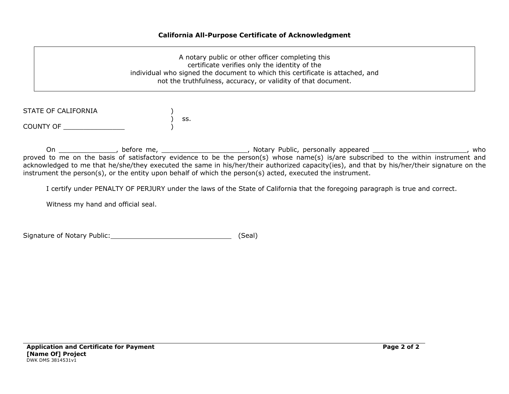#### **California All-Purpose Certificate of Acknowledgment**

A notary public or other officer completing this certificate verifies only the identity of the individual who signed the document to which this certificate is attached, and not the truthfulness, accuracy, or validity of that document.

| STATE OF CALIFORNIA |     |
|---------------------|-----|
|                     | SS. |
| COUNTY OF           |     |

On \_\_\_\_\_\_\_\_\_\_\_\_\_\_\_\_, before me, \_\_\_\_\_\_\_\_\_\_\_\_\_\_\_\_\_\_\_\_\_\_\_\_\_, Notary Public, personally appeared \_\_\_\_\_\_\_\_\_\_\_\_\_\_\_\_\_\_\_\_\_\_\_\_\_\_, who proved to me on the basis of satisfactory evidence to be the person(s) whose name(s) is/are subscribed to the within instrument and acknowledged to me that he/she/they executed the same in his/her/their authorized capacity(ies), and that by his/her/their signature on the instrument the person(s), or the entity upon behalf of which the person(s) acted, executed the instrument.

I certify under PENALTY OF PERJURY under the laws of the State of California that the foregoing paragraph is true and correct.

Witness my hand and official seal.

Signature of Notary Public: (Seal)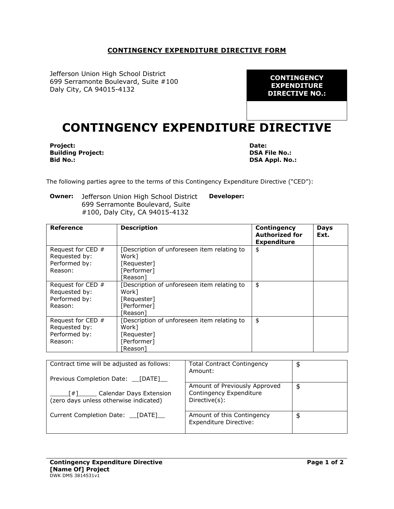#### **CONTINGENCY EXPENDITURE DIRECTIVE FORM**

Jefferson Union High School District 699 Serramonte Boulevard, Suite #100 Daly City, CA 94015-4132

**CONTINGENCY EXPENDITURE DIRECTIVE NO.:**

# **CONTINGENCY EXPENDITURE DIRECTIVE**

**Project: Building Project: Bid No.:**

**Date: DSA File No.: DSA Appl. No.:**

The following parties agree to the terms of this Contingency Expenditure Directive ("CED"):

**Owner:** Jefferson Union High School District 699 Serramonte Boulevard, Suite #100, Daly City, CA 94015-4132 **Developer:**

| Reference                                                        | <b>Description</b>                                                                                   | Contingency<br><b>Authorized for</b><br><b>Expenditure</b> | <b>Days</b><br>Ext. |
|------------------------------------------------------------------|------------------------------------------------------------------------------------------------------|------------------------------------------------------------|---------------------|
| Request for CED $#$<br>Requested by:<br>Performed by:            | Description of unforeseen item relating to<br>Work1<br>[Requester]                                   | \$                                                         |                     |
| Reason:                                                          | [Performer]<br>์Reason l                                                                             |                                                            |                     |
| Request for CED $#$<br>Requested by:<br>Performed by:<br>Reason: | Description of unforeseen item relating to<br>Work1<br>[Requester]<br>[Performer]<br><b>Reason</b> l | \$                                                         |                     |
| Request for CED #<br>Requested by:<br>Performed by:<br>Reason:   | Description of unforeseen item relating to<br>Work]<br>[Requester]<br>[Performer]<br>้Reason ไ       | \$                                                         |                     |

| Contract time will be adjusted as follows:                                             | <b>Total Contract Contingency</b><br>Amount:                              | \$ |
|----------------------------------------------------------------------------------------|---------------------------------------------------------------------------|----|
| Previous Completion Date: [DATE]                                                       |                                                                           |    |
| Calendar Days Extension<br>$\lceil # \rceil$<br>(zero days unless otherwise indicated) | Amount of Previously Approved<br>Contingency Expenditure<br>Directive(s): | \$ |
| Current Completion Date: [DATE]                                                        | Amount of this Contingency<br>Expenditure Directive:                      | \$ |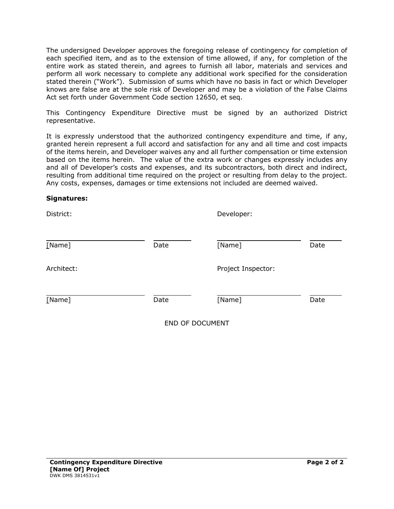The undersigned Developer approves the foregoing release of contingency for completion of each specified item, and as to the extension of time allowed, if any, for completion of the entire work as stated therein, and agrees to furnish all labor, materials and services and perform all work necessary to complete any additional work specified for the consideration stated therein ("Work"). Submission of sums which have no basis in fact or which Developer knows are false are at the sole risk of Developer and may be a violation of the False Claims Act set forth under Government Code section 12650, et seq.

This Contingency Expenditure Directive must be signed by an authorized District representative.

It is expressly understood that the authorized contingency expenditure and time, if any, granted herein represent a full accord and satisfaction for any and all time and cost impacts of the items herein, and Developer waives any and all further compensation or time extension based on the items herein. The value of the extra work or changes expressly includes any and all of Developer's costs and expenses, and its subcontractors, both direct and indirect, resulting from additional time required on the project or resulting from delay to the project. Any costs, expenses, damages or time extensions not included are deemed waived.

#### **Signatures:**

| District:  |      | Developer:               |      |  |
|------------|------|--------------------------|------|--|
| [Name]     | Date | [Name]                   | Date |  |
| Architect: |      | Project Inspector:       |      |  |
| [Name]     | Date | [Name]                   | Date |  |
|            |      | <b>CHID OF DOOLIMENT</b> |      |  |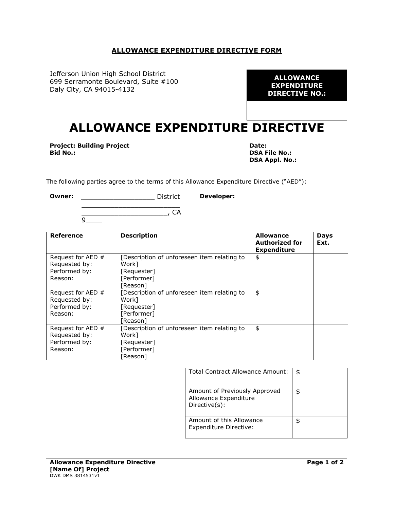#### **ALLOWANCE EXPENDITURE DIRECTIVE FORM**

Jefferson Union High School District 699 Serramonte Boulevard, Suite #100 Daly City, CA 94015-4132

**ALLOWANCE EXPENDITURE DIRECTIVE NO.:**

# **ALLOWANCE EXPENDITURE DIRECTIVE**

**Project: Building Project Bid No.:**

**Date: DSA File No.: DSA Appl. No.:**

The following parties agree to the terms of this Allowance Expenditure Directive ("AED"):

**Owner:** \_\_\_\_\_\_\_\_\_\_\_\_\_\_\_\_\_\_ District **Developer:**

> \_\_\_\_\_\_\_\_\_\_\_\_\_\_\_\_\_\_\_\_\_\_\_\_ \_\_\_\_\_\_\_\_\_\_\_\_\_\_\_\_\_\_\_\_\_, CA 9\_\_\_\_

| Reference           | <b>Description</b>                         | <b>Allowance</b><br><b>Authorized for</b><br><b>Expenditure</b> | <b>Days</b><br>Ext. |
|---------------------|--------------------------------------------|-----------------------------------------------------------------|---------------------|
| Request for AED $#$ | Description of unforeseen item relating to | \$                                                              |                     |
| Requested by:       | Work1                                      |                                                                 |                     |
| Performed by:       | [Requester]                                |                                                                 |                     |
| Reason:             | [Performer]                                |                                                                 |                     |
|                     | ์Reason l                                  |                                                                 |                     |
| Request for AED $#$ | Description of unforeseen item relating to | \$                                                              |                     |
| Requested by:       | Work1                                      |                                                                 |                     |
| Performed by:       | [Requester]                                |                                                                 |                     |
| Reason:             | [Performer]                                |                                                                 |                     |
|                     | ์Reason l                                  |                                                                 |                     |
| Request for AED $#$ | Description of unforeseen item relating to | \$                                                              |                     |
| Requested by:       | Work]                                      |                                                                 |                     |
| Performed by:       | [Requester]                                |                                                                 |                     |
| Reason:             | [Performer]                                |                                                                 |                     |
|                     | ์Reason ไ                                  |                                                                 |                     |

| <b>Total Contract Allowance Amount:</b>                                 | \$ |
|-------------------------------------------------------------------------|----|
| Amount of Previously Approved<br>Allowance Expenditure<br>Directive(s): |    |
| Amount of this Allowance<br>Expenditure Directive:                      |    |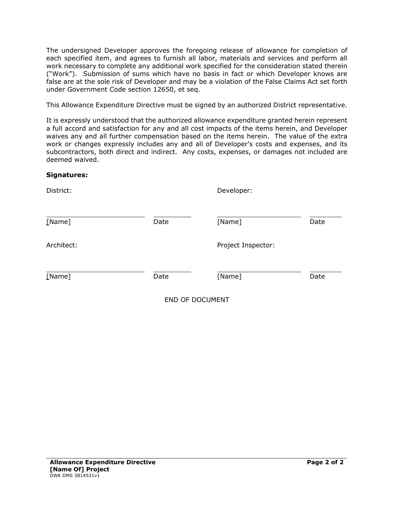The undersigned Developer approves the foregoing release of allowance for completion of each specified item, and agrees to furnish all labor, materials and services and perform all work necessary to complete any additional work specified for the consideration stated therein ("Work"). Submission of sums which have no basis in fact or which Developer knows are false are at the sole risk of Developer and may be a violation of the False Claims Act set forth under Government Code section 12650, et seq.

This Allowance Expenditure Directive must be signed by an authorized District representative.

It is expressly understood that the authorized allowance expenditure granted herein represent a full accord and satisfaction for any and all cost impacts of the items herein, and Developer waives any and all further compensation based on the items herein. The value of the extra work or changes expressly includes any and all of Developer's costs and expenses, and its subcontractors, both direct and indirect. Any costs, expenses, or damages not included are deemed waived.

#### **Signatures:**

| District:  |      | Developer:         |      |
|------------|------|--------------------|------|
| [Name]     | Date | [Name]             | Date |
| Architect: |      | Project Inspector: |      |
| [Name]     | Date | [Name]             | Date |
|            |      | END OF DOCUMENT    |      |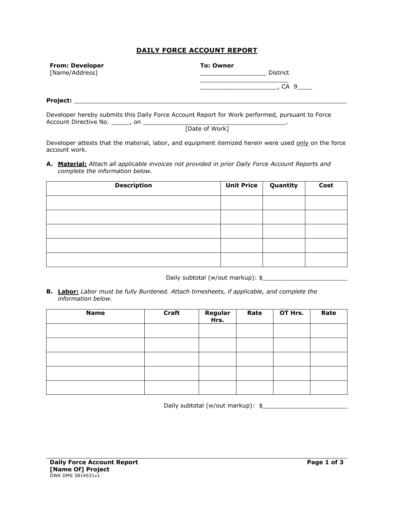#### **DAILY FORCE ACCOUNT REPORT**

| <b>From: Developer</b> | <b>To: Owner</b> |  |  |
|------------------------|------------------|--|--|
| [Name/Address]         | District         |  |  |
|                        | 9<br>CА          |  |  |
| Project:               |                  |  |  |
|                        | .                |  |  |

Developer hereby submits this Daily Force Account Report for Work performed, pursuant to Force Account Directive No. \_\_\_\_\_, on \_\_\_\_\_\_\_\_\_\_\_\_\_\_\_\_\_\_\_\_\_\_\_\_\_\_\_\_\_\_\_\_\_\_\_\_\_\_\_.

[Date of Work]

Developer attests that the material, labor, and equipment itemized herein were used only on the force account work.

**A. Material:** *Attach all applicable invoices not provided in prior Daily Force Account Reports and complete the information below.*

| <b>Description</b> | Unit Price | Quantity | Cost |
|--------------------|------------|----------|------|
|                    |            |          |      |
|                    |            |          |      |
|                    |            |          |      |
|                    |            |          |      |
|                    |            |          |      |

Daily subtotal (w/out markup): \$\_\_\_\_\_\_\_\_\_\_\_\_\_\_\_\_\_\_\_\_\_\_\_

**B. Labor:** *Labor must be fully Burdened. Attach timesheets, if applicable, and complete the information below.* 

| <b>Name</b> | <b>Craft</b> | Regular<br>Hrs. | Rate | OT Hrs. | Rate |
|-------------|--------------|-----------------|------|---------|------|
|             |              |                 |      |         |      |
|             |              |                 |      |         |      |
|             |              |                 |      |         |      |
|             |              |                 |      |         |      |
|             |              |                 |      |         |      |

Daily subtotal (w/out markup):  $\frac{1}{2}$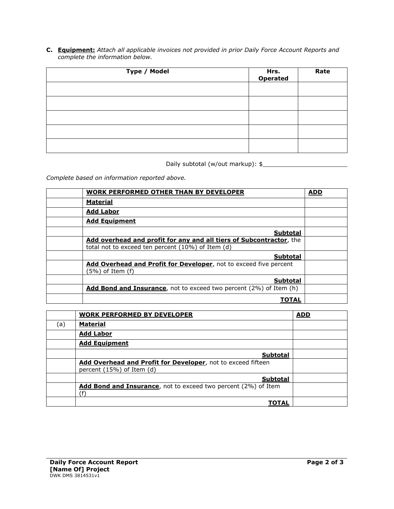**C. Equipment:** *Attach all applicable invoices not provided in prior Daily Force Account Reports and complete the information below.*

| Type / Model | Hrs.<br>Operated | Rate |
|--------------|------------------|------|
|              |                  |      |
|              |                  |      |
|              |                  |      |
|              |                  |      |
|              |                  |      |

Daily subtotal (w/out markup): \$

*Complete based on information reported above.* 

| <b>WORK PERFORMED OTHER THAN BY DEVELOPER</b>                       | <b>ADD</b> |
|---------------------------------------------------------------------|------------|
| <b>Material</b>                                                     |            |
| <b>Add Labor</b>                                                    |            |
| <b>Add Equipment</b>                                                |            |
| <b>Subtotal</b>                                                     |            |
| Add overhead and profit for any and all tiers of Subcontractor, the |            |
| total not to exceed ten percent (10%) of Item (d)                   |            |
| <b>Subtotal</b>                                                     |            |
| Add Overhead and Profit for Developer, not to exceed five percent   |            |
| (5%) of Item (f)                                                    |            |
| <b>Subtotal</b>                                                     |            |
| Add Bond and Insurance, not to exceed two percent (2%) of Item (h)  |            |
| TOTAL                                                               |            |

|     | <b>WORK PERFORMED BY DEVELOPER</b>                                                        | <b>ADD</b> |
|-----|-------------------------------------------------------------------------------------------|------------|
| (a) | <b>Material</b>                                                                           |            |
|     | <b>Add Labor</b>                                                                          |            |
|     | <b>Add Equipment</b>                                                                      |            |
|     | <b>Subtotal</b>                                                                           |            |
|     | Add Overhead and Profit for Developer, not to exceed fifteen<br>percent (15%) of Item (d) |            |
|     | <b>Subtotal</b>                                                                           |            |
|     | Add Bond and Insurance, not to exceed two percent (2%) of Item<br>(f                      |            |
|     | ΤΟΤΑΙ                                                                                     |            |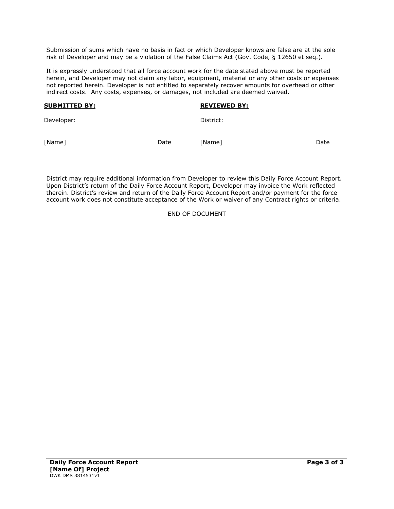Submission of sums which have no basis in fact or which Developer knows are false are at the sole risk of Developer and may be a violation of the False Claims Act (Gov. Code, § 12650 et seq.).

It is expressly understood that all force account work for the date stated above must be reported herein, and Developer may not claim any labor, equipment, material or any other costs or expenses not reported herein. Developer is not entitled to separately recover amounts for overhead or other indirect costs. Any costs, expenses, or damages, not included are deemed waived.

#### **SUBMITTED BY:**

#### **REVIEWED BY:**

Developer:

District:

[Name] Date

j.

[Name] Date

District may require additional information from Developer to review this Daily Force Account Report. Upon District's return of the Daily Force Account Report, Developer may invoice the Work reflected therein. District's review and return of the Daily Force Account Report and/or payment for the force account work does not constitute acceptance of the Work or waiver of any Contract rights or criteria.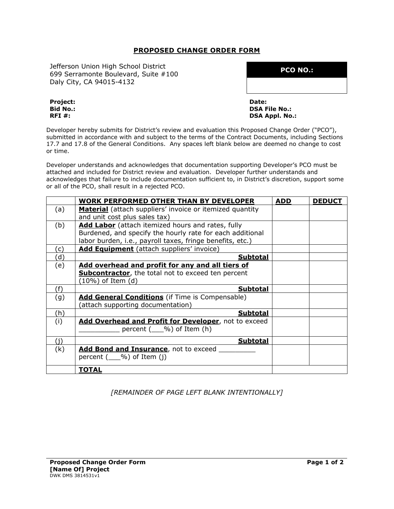#### **PROPOSED CHANGE ORDER FORM**

Jefferson Union High School District 699 Serramonte Boulevard, Suite #100 Daly City, CA 94015-4132

**PCO NO.:**

**Project: Bid No.: RFI #:**

**Date: DSA File No.: DSA Appl. No.:**

Developer hereby submits for District's review and evaluation this Proposed Change Order ("PCO"), submitted in accordance with and subject to the terms of the Contract Documents, including Sections 17.7 and 17.8 of the General Conditions. Any spaces left blank below are deemed no change to cost or time.

Developer understands and acknowledges that documentation supporting Developer's PCO must be attached and included for District review and evaluation. Developer further understands and acknowledges that failure to include documentation sufficient to, in District's discretion, support some or all of the PCO, shall result in a rejected PCO.

|     | <b>WORK PERFORMED OTHER THAN BY DEVELOPER</b>                   | <b>ADD</b> | <b>DEDUCT</b> |
|-----|-----------------------------------------------------------------|------------|---------------|
| (a) | <b>Material</b> (attach suppliers' invoice or itemized quantity |            |               |
|     | and unit cost plus sales tax)                                   |            |               |
| (b) | Add Labor (attach itemized hours and rates, fully               |            |               |
|     | Burdened, and specify the hourly rate for each additional       |            |               |
|     | labor burden, i.e., payroll taxes, fringe benefits, etc.)       |            |               |
| (c) | Add Equipment (attach suppliers' invoice)                       |            |               |
| (d  | <b>Subtotal</b>                                                 |            |               |
| (e) | Add overhead and profit for any and all tiers of                |            |               |
|     | <b>Subcontractor</b> , the total not to exceed ten percent      |            |               |
|     | $(10\%)$ of Item (d)                                            |            |               |
| (f) | <b>Subtotal</b>                                                 |            |               |
| (g) | <b>Add General Conditions</b> (if Time is Compensable)          |            |               |
|     | (attach supporting documentation)                               |            |               |
| (h) | Subtotal                                                        |            |               |
| (i) | Add Overhead and Profit for Developer, not to exceed            |            |               |
|     | percent $($ $\%$ ) of Item (h)                                  |            |               |
| (i) | Subtotal                                                        |            |               |
| (k) | Add Bond and Insurance, not to exceed                           |            |               |
|     | percent $($ $\%$ ) of Item (j)                                  |            |               |
|     |                                                                 |            |               |
|     | <b>TOTAL</b>                                                    |            |               |

## *[REMAINDER OF PAGE LEFT BLANK INTENTIONALLY]*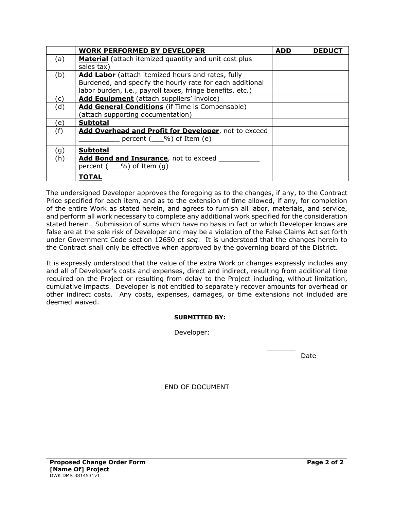|     | <b>WORK PERFORMED BY DEVELOPER</b>                           | <b>ADD</b> | <b>DEDUCT</b> |
|-----|--------------------------------------------------------------|------------|---------------|
| (a) | <b>Material</b> (attach itemized quantity and unit cost plus |            |               |
|     | sales tax)                                                   |            |               |
| (b) | <b>Add Labor</b> (attach itemized hours and rates, fully     |            |               |
|     | Burdened, and specify the hourly rate for each additional    |            |               |
|     | labor burden, i.e., payroll taxes, fringe benefits, etc.)    |            |               |
| C)  | Add Equipment (attach suppliers' invoice)                    |            |               |
| (d) | <b>Add General Conditions</b> (if Time is Compensable)       |            |               |
|     | (attach supporting documentation)                            |            |               |
| e)  | <b>Subtotal</b>                                              |            |               |
| (f) | Add Overhead and Profit for Developer, not to exceed         |            |               |
|     | percent $($ $\%$ ) of Item (e)                               |            |               |
| (g) | <b>Subtotal</b>                                              |            |               |
| (h) | Add Bond and Insurance, not to exceed                        |            |               |
|     | percent $($ $\%$ ) of Item $(q)$                             |            |               |
|     | <b>TOTAL</b>                                                 |            |               |

The undersigned Developer approves the foregoing as to the changes, if any, to the Contract Price specified for each item, and as to the extension of time allowed, if any, for completion of the entire Work as stated herein, and agrees to furnish all labor, materials, and service, and perform all work necessary to complete any additional work specified for the consideration stated herein. Submission of sums which have no basis in fact or which Developer knows are false are at the sole risk of Developer and may be a violation of the False Claims Act set forth under Government Code section 12650 *et seq*. It is understood that the changes herein to the Contract shall only be effective when approved by the governing board of the District.

It is expressly understood that the value of the extra Work or changes expressly includes any and all of Developer's costs and expenses, direct and indirect, resulting from additional time required on the Project or resulting from delay to the Project including, without limitation, cumulative impacts. Developer is not entitled to separately recover amounts for overhead or other indirect costs. Any costs, expenses, damages, or time extensions not included are deemed waived.

## **SUBMITTED BY:**

Developer:

discussion of the contract of the contract of the Date

 $\frac{1}{2}$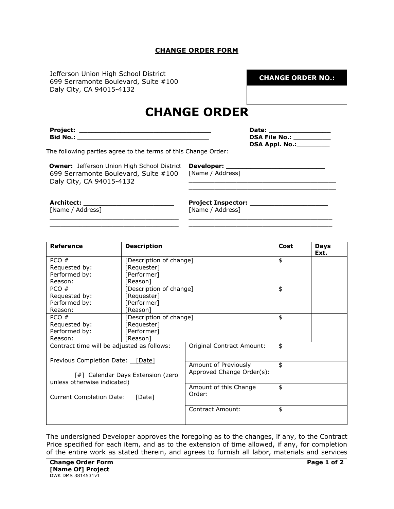#### **CHANGE ORDER FORM**

Jefferson Union High School District 699 Serramonte Boulevard, Suite #100 Daly City, CA 94015-4132

**CHANGE ORDER NO.:**

# **CHANGE ORDER**

**Project: \_\_\_\_\_\_\_\_\_\_\_\_\_\_\_\_\_\_\_\_\_\_\_\_\_\_\_\_\_\_\_\_ Bid No.: \_\_\_\_\_\_\_\_\_\_\_\_\_\_\_\_\_\_\_\_\_\_\_\_\_\_\_\_\_\_\_\_**

| Date:                 |  |
|-----------------------|--|
| <b>DSA File No.:</b>  |  |
| <b>DSA Appl. No.:</b> |  |

\_\_\_\_\_\_\_\_\_\_\_\_\_\_\_\_\_\_\_\_\_\_\_\_\_\_\_\_\_\_\_\_\_\_\_\_\_\_\_\_ \_\_\_\_\_\_\_\_\_\_\_\_\_\_\_\_\_\_\_\_\_\_\_\_\_\_\_\_\_\_\_\_\_\_\_\_\_\_\_\_

\_\_\_\_\_\_\_\_\_\_\_\_\_\_\_\_\_\_\_\_\_\_\_\_\_\_\_\_\_\_\_\_\_\_\_\_\_\_\_ \_\_\_\_\_\_\_\_\_\_\_\_\_\_\_\_\_\_\_\_\_\_\_\_\_\_\_\_\_\_\_\_\_\_\_\_\_\_\_

The following parties agree to the terms of this Change Order:

**Owner:** Jefferson Union High School District **Developer: \_\_\_\_\_\_\_\_\_\_\_\_\_\_\_\_\_\_\_\_\_\_\_\_** 699 Serramonte Boulevard, Suite #100 Daly City, CA 94015-4132

\_\_\_\_\_\_\_\_\_\_\_\_\_\_\_\_\_\_\_\_\_\_\_\_\_\_\_\_\_\_\_\_\_\_\_ \_\_\_\_\_\_\_\_\_\_\_\_\_\_\_\_\_\_\_\_\_\_\_\_\_\_\_\_\_\_\_\_\_\_\_ [Name / Address]

**Architect: \_\_\_\_\_\_\_\_\_\_\_\_\_\_\_\_\_\_\_\_\_\_** [Name / Address] **Project Inspector: \_\_\_\_\_\_\_\_\_\_\_\_\_\_\_\_\_\_\_**

[Name / Address]

| <b>Reference</b>                                                 | <b>Description</b>      | Cost                      | <b>Days</b><br>Ext. |  |
|------------------------------------------------------------------|-------------------------|---------------------------|---------------------|--|
| PCO#                                                             | [Description of change] |                           | \$                  |  |
| Requested by:                                                    | [Requester]             |                           |                     |  |
| Performed by:                                                    | [Performer]             |                           |                     |  |
| Reason:                                                          | [Reason]                |                           |                     |  |
| PCO #                                                            | [Description of change] |                           | \$                  |  |
| Requested by:                                                    | [Requester]             |                           |                     |  |
| Performed by:                                                    | [Performer]             |                           |                     |  |
| Reason:                                                          | [Reason]                |                           | \$                  |  |
| PCO#                                                             |                         | [Description of change]   |                     |  |
| Requested by:                                                    | [Requester]             |                           |                     |  |
| Performed by:                                                    | [Performer]             |                           |                     |  |
| Reason:                                                          | [Reason]                |                           |                     |  |
| Contract time will be adjusted as follows:                       |                         | Original Contract Amount: | \$                  |  |
|                                                                  |                         |                           |                     |  |
| Previous Completion Date: [Date]                                 |                         | Amount of Previously      | \$                  |  |
|                                                                  |                         | Approved Change Order(s): |                     |  |
| [#] Calendar Days Extension (zero<br>unless otherwise indicated) |                         |                           |                     |  |
|                                                                  |                         | Amount of this Change     | \$                  |  |
| Current Completion Date: [Date]                                  |                         | Order:                    |                     |  |
|                                                                  |                         | Contract Amount:          | \$                  |  |
|                                                                  |                         |                           |                     |  |

The undersigned Developer approves the foregoing as to the changes, if any, to the Contract Price specified for each item, and as to the extension of time allowed, if any, for completion of the entire work as stated therein, and agrees to furnish all labor, materials and services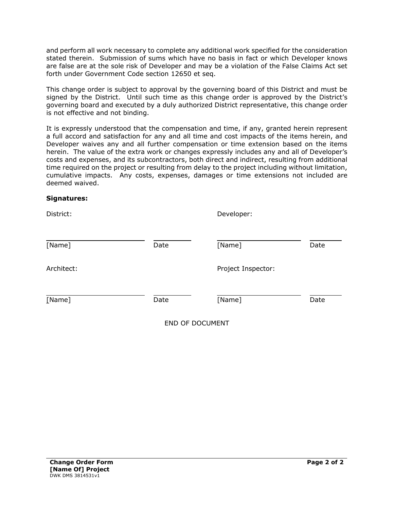and perform all work necessary to complete any additional work specified for the consideration stated therein. Submission of sums which have no basis in fact or which Developer knows are false are at the sole risk of Developer and may be a violation of the False Claims Act set forth under Government Code section 12650 et seq.

This change order is subject to approval by the governing board of this District and must be signed by the District. Until such time as this change order is approved by the District's governing board and executed by a duly authorized District representative, this change order is not effective and not binding.

It is expressly understood that the compensation and time, if any, granted herein represent a full accord and satisfaction for any and all time and cost impacts of the items herein, and Developer waives any and all further compensation or time extension based on the items herein. The value of the extra work or changes expressly includes any and all of Developer's costs and expenses, and its subcontractors, both direct and indirect, resulting from additional time required on the project or resulting from delay to the project including without limitation, cumulative impacts. Any costs, expenses, damages or time extensions not included are deemed waived.

#### **Signatures:**

| District:  |      | Developer:         |      |
|------------|------|--------------------|------|
| [Name]     | Date | [Name]             | Date |
| Architect: |      | Project Inspector: |      |
| [Name]     | Date | [Name]             | Date |
|            |      |                    |      |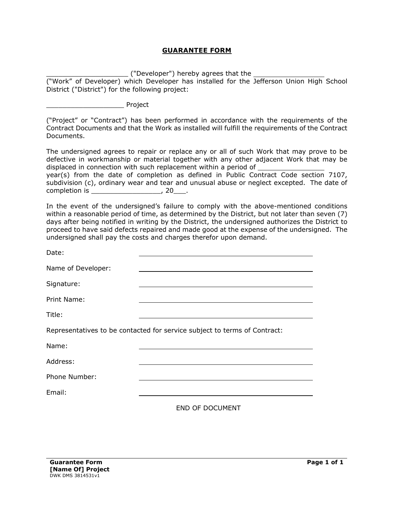#### **GUARANTEE FORM**

 $\overline{\phantom{a}}$  ("Developer") hereby agrees that the  $\overline{\phantom{a}}$ 

("Work" of Developer) which Developer has installed for the Jefferson Union High School District ("District") for the following project:

\_\_\_\_\_\_\_\_\_\_\_\_\_\_\_\_\_\_\_ Project

("Project" or "Contract") has been performed in accordance with the requirements of the Contract Documents and that the Work as installed will fulfill the requirements of the Contract Documents.

The undersigned agrees to repair or replace any or all of such Work that may prove to be defective in workmanship or material together with any other adjacent Work that may be displaced in connection with such replacement within a period of

year(s) from the date of completion as defined in Public Contract Code section 7107, subdivision (c), ordinary wear and tear and unusual abuse or neglect excepted. The date of completion is \_\_\_\_\_\_\_\_\_\_\_\_\_\_\_\_\_\_\_\_\_, 20\_\_\_\_.

In the event of the undersigned's failure to comply with the above-mentioned conditions within a reasonable period of time, as determined by the District, but not later than seven (7) days after being notified in writing by the District, the undersigned authorizes the District to proceed to have said defects repaired and made good at the expense of the undersigned. The undersigned shall pay the costs and charges therefor upon demand.

| Date:              |                                                                           |
|--------------------|---------------------------------------------------------------------------|
| Name of Developer: |                                                                           |
| Signature:         |                                                                           |
| Print Name:        |                                                                           |
| Title:             |                                                                           |
|                    | Representatives to be contacted for service subject to terms of Contract: |
| Name:              |                                                                           |
| Address:           |                                                                           |
| Phone Number:      |                                                                           |
| Email:             |                                                                           |
|                    |                                                                           |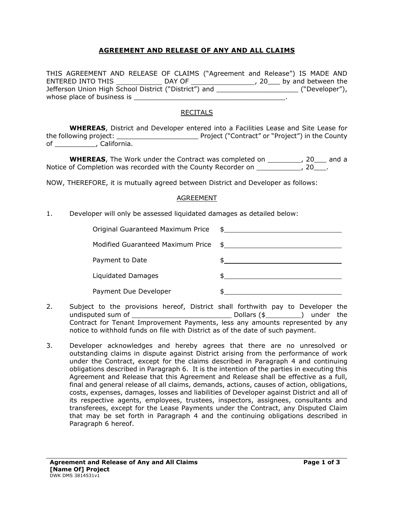## **AGREEMENT AND RELEASE OF ANY AND ALL CLAIMS**

THIS AGREEMENT AND RELEASE OF CLAIMS ("Agreement and Release") IS MADE AND ENTERED INTO THIS  $\_\_\_\_\_\_\_\$ DAY OF  $\_\_\_\_\_\_\_\_\_$ , 20\_\_\_ by and between the Jefferson Union High School District ("District") and \_\_\_\_\_\_\_\_\_\_\_\_\_\_\_\_\_\_\_\_ ("Developer"), whose place of business is \_\_\_\_\_\_\_\_\_\_\_\_\_\_\_\_\_\_\_\_\_\_\_\_\_\_\_\_\_\_\_\_\_\_\_\_\_.

## RECITALS

**WHEREAS**, District and Developer entered into a Facilities Lease and Site Lease for the following project: \_\_\_\_\_\_\_\_\_\_\_\_\_\_\_\_\_\_\_\_ Project ("Contract" or "Project") in the County of \_\_\_\_\_\_\_\_\_\_\_, California.

**WHEREAS**, The Work under the Contract was completed on \_\_\_\_\_\_\_\_\_, 20\_\_\_ and a Notice of Completion was recorded with the County Recorder on \_\_\_\_\_\_\_\_\_\_\_\_\_, 20\_\_\_\_.

NOW, THEREFORE, it is mutually agreed between District and Developer as follows:

#### AGREEMENT

1. Developer will only be assessed liquidated damages as detailed below:

| Original Guaranteed Maximum Price | $\updownarrow$ |
|-----------------------------------|----------------|
| Modified Guaranteed Maximum Price |                |
| Payment to Date                   |                |
| Liquidated Damages                |                |
| Payment Due Developer             |                |

- 2. Subject to the provisions hereof, District shall forthwith pay to Developer the undisputed sum of Dollars (\$ ) under the Contract for Tenant Improvement Payments, less any amounts represented by any notice to withhold funds on file with District as of the date of such payment.
- 3. Developer acknowledges and hereby agrees that there are no unresolved or outstanding claims in dispute against District arising from the performance of work under the Contract, except for the claims described in Paragraph 4 and continuing obligations described in Paragraph 6. It is the intention of the parties in executing this Agreement and Release that this Agreement and Release shall be effective as a full, final and general release of all claims, demands, actions, causes of action, obligations, costs, expenses, damages, losses and liabilities of Developer against District and all of its respective agents, employees, trustees, inspectors, assignees, consultants and transferees, except for the Lease Payments under the Contract, any Disputed Claim that may be set forth in Paragraph 4 and the continuing obligations described in Paragraph 6 hereof.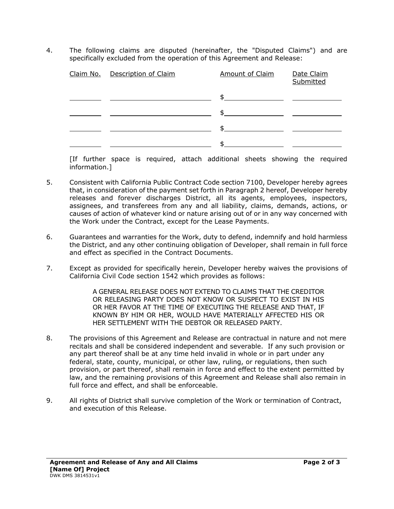4. The following claims are disputed (hereinafter, the "Disputed Claims") and are specifically excluded from the operation of this Agreement and Release:

| Claim No. Description of Claim | <b>Amount of Claim</b> | Date Claim<br>Submitted |
|--------------------------------|------------------------|-------------------------|
|                                | \$                     |                         |
|                                | \$                     |                         |
|                                | \$                     |                         |
|                                |                        |                         |

[If further space is required, attach additional sheets showing the required information.]

- 5. Consistent with California Public Contract Code section 7100, Developer hereby agrees that, in consideration of the payment set forth in Paragraph 2 hereof, Developer hereby releases and forever discharges District, all its agents, employees, inspectors, assignees, and transferees from any and all liability, claims, demands, actions, or causes of action of whatever kind or nature arising out of or in any way concerned with the Work under the Contract, except for the Lease Payments.
- 6. Guarantees and warranties for the Work, duty to defend, indemnify and hold harmless the District, and any other continuing obligation of Developer, shall remain in full force and effect as specified in the Contract Documents.
- 7. Except as provided for specifically herein, Developer hereby waives the provisions of California Civil Code section 1542 which provides as follows:

A GENERAL RELEASE DOES NOT EXTEND TO CLAIMS THAT THE CREDITOR OR RELEASING PARTY DOES NOT KNOW OR SUSPECT TO EXIST IN HIS OR HER FAVOR AT THE TIME OF EXECUTING THE RELEASE AND THAT, IF KNOWN BY HIM OR HER, WOULD HAVE MATERIALLY AFFECTED HIS OR HER SETTLEMENT WITH THE DEBTOR OR RELEASED PARTY.

- 8. The provisions of this Agreement and Release are contractual in nature and not mere recitals and shall be considered independent and severable. If any such provision or any part thereof shall be at any time held invalid in whole or in part under any federal, state, county, municipal, or other law, ruling, or regulations, then such provision, or part thereof, shall remain in force and effect to the extent permitted by law, and the remaining provisions of this Agreement and Release shall also remain in full force and effect, and shall be enforceable.
- 9. All rights of District shall survive completion of the Work or termination of Contract, and execution of this Release.